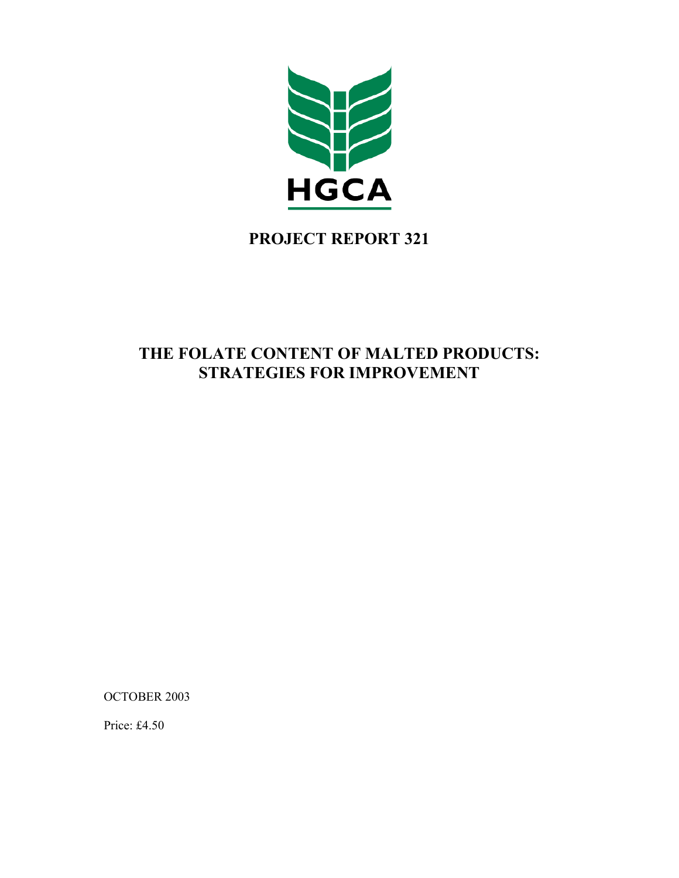

# **PROJECT REPORT 321**

# **THE FOLATE CONTENT OF MALTED PRODUCTS: STRATEGIES FOR IMPROVEMENT**

OCTOBER 2003

Price: £4.50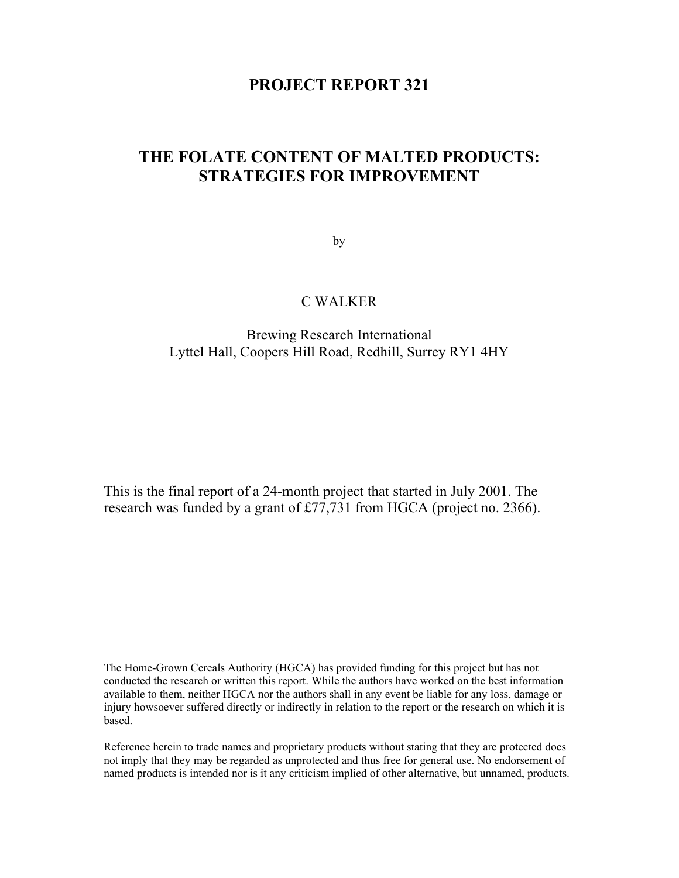# **PROJECT REPORT 321**

# **THE FOLATE CONTENT OF MALTED PRODUCTS: STRATEGIES FOR IMPROVEMENT**

by

# C WALKER

# Brewing Research International Lyttel Hall, Coopers Hill Road, Redhill, Surrey RY1 4HY

This is the final report of a 24-month project that started in July 2001. The research was funded by a grant of £77,731 from HGCA (project no. 2366).

The Home-Grown Cereals Authority (HGCA) has provided funding for this project but has not conducted the research or written this report. While the authors have worked on the best information available to them, neither HGCA nor the authors shall in any event be liable for any loss, damage or injury howsoever suffered directly or indirectly in relation to the report or the research on which it is based.

Reference herein to trade names and proprietary products without stating that they are protected does not imply that they may be regarded as unprotected and thus free for general use. No endorsement of named products is intended nor is it any criticism implied of other alternative, but unnamed, products.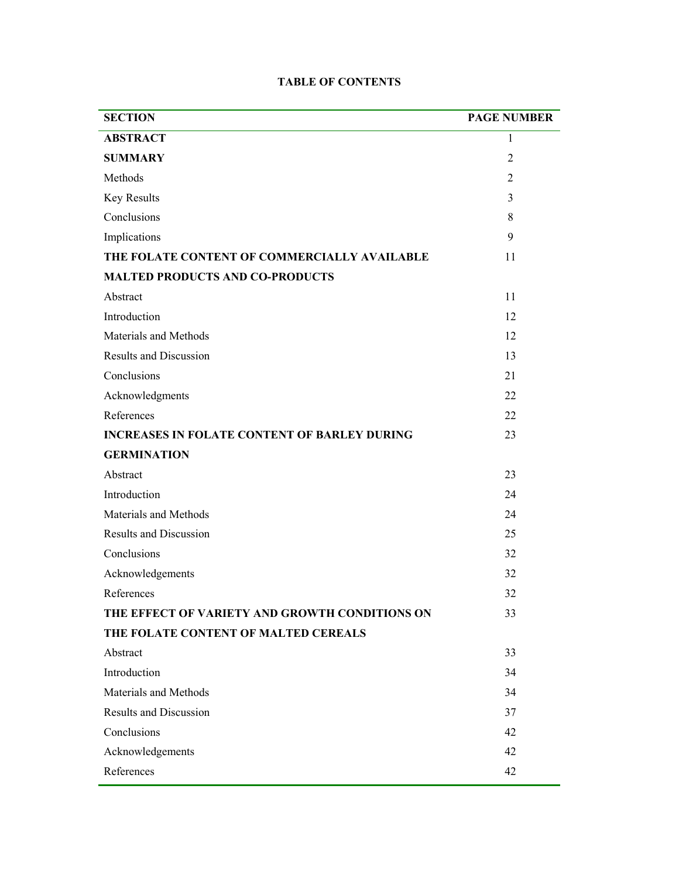| <b>SECTION</b>                                      | <b>PAGE NUMBER</b> |
|-----------------------------------------------------|--------------------|
| <b>ABSTRACT</b>                                     | 1                  |
| <b>SUMMARY</b>                                      | $\overline{2}$     |
| Methods                                             | $\overline{2}$     |
| Key Results                                         | 3                  |
| Conclusions                                         | 8                  |
| Implications                                        | 9                  |
| THE FOLATE CONTENT OF COMMERCIALLY AVAILABLE        | 11                 |
| <b>MALTED PRODUCTS AND CO-PRODUCTS</b>              |                    |
| Abstract                                            | 11                 |
| Introduction                                        | 12                 |
| Materials and Methods                               | 12                 |
| <b>Results and Discussion</b>                       | 13                 |
| Conclusions                                         | 21                 |
| Acknowledgments                                     | 22                 |
| References                                          | 22                 |
| <b>INCREASES IN FOLATE CONTENT OF BARLEY DURING</b> | 23                 |
| <b>GERMINATION</b>                                  |                    |
| Abstract                                            | 23                 |
| Introduction                                        | 24                 |
| Materials and Methods                               | 24                 |
| <b>Results and Discussion</b>                       | 25                 |
| Conclusions                                         | 32                 |
| Acknowledgements                                    | 32                 |
| References                                          | 32                 |
| THE EFFECT OF VARIETY AND GROWTH CONDITIONS ON      | 33                 |
| THE FOLATE CONTENT OF MALTED CEREALS                |                    |
| Abstract                                            | 33                 |
| Introduction                                        | 34                 |
| Materials and Methods                               | 34                 |
| <b>Results and Discussion</b>                       | 37                 |
| Conclusions                                         | 42                 |
| Acknowledgements                                    | 42                 |
| References                                          | 42                 |

## **TABLE OF CONTENTS**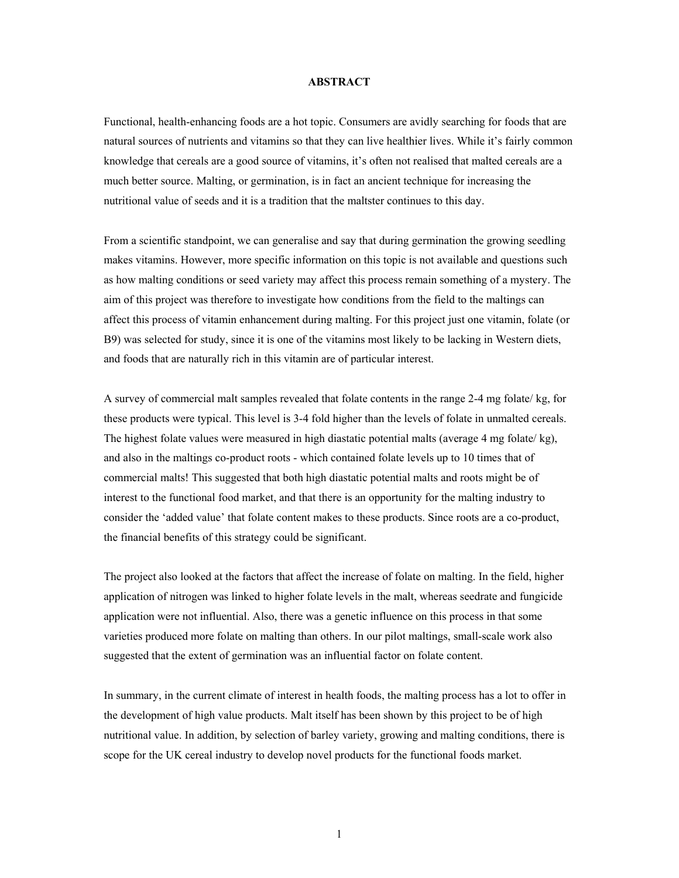#### **ABSTRACT**

Functional, health-enhancing foods are a hot topic. Consumers are avidly searching for foods that are natural sources of nutrients and vitamins so that they can live healthier lives. While it's fairly common knowledge that cereals are a good source of vitamins, it's often not realised that malted cereals are a much better source. Malting, or germination, is in fact an ancient technique for increasing the nutritional value of seeds and it is a tradition that the maltster continues to this day.

From a scientific standpoint, we can generalise and say that during germination the growing seedling makes vitamins. However, more specific information on this topic is not available and questions such as how malting conditions or seed variety may affect this process remain something of a mystery. The aim of this project was therefore to investigate how conditions from the field to the maltings can affect this process of vitamin enhancement during malting. For this project just one vitamin, folate (or B9) was selected for study, since it is one of the vitamins most likely to be lacking in Western diets, and foods that are naturally rich in this vitamin are of particular interest.

A survey of commercial malt samples revealed that folate contents in the range 2-4 mg folate/ kg, for these products were typical. This level is 3-4 fold higher than the levels of folate in unmalted cereals. The highest folate values were measured in high diastatic potential malts (average 4 mg folate/ kg), and also in the maltings co-product roots - which contained folate levels up to 10 times that of commercial malts! This suggested that both high diastatic potential malts and roots might be of interest to the functional food market, and that there is an opportunity for the malting industry to consider the 'added value' that folate content makes to these products. Since roots are a co-product, the financial benefits of this strategy could be significant.

The project also looked at the factors that affect the increase of folate on malting. In the field, higher application of nitrogen was linked to higher folate levels in the malt, whereas seedrate and fungicide application were not influential. Also, there was a genetic influence on this process in that some varieties produced more folate on malting than others. In our pilot maltings, small-scale work also suggested that the extent of germination was an influential factor on folate content.

In summary, in the current climate of interest in health foods, the malting process has a lot to offer in the development of high value products. Malt itself has been shown by this project to be of high nutritional value. In addition, by selection of barley variety, growing and malting conditions, there is scope for the UK cereal industry to develop novel products for the functional foods market.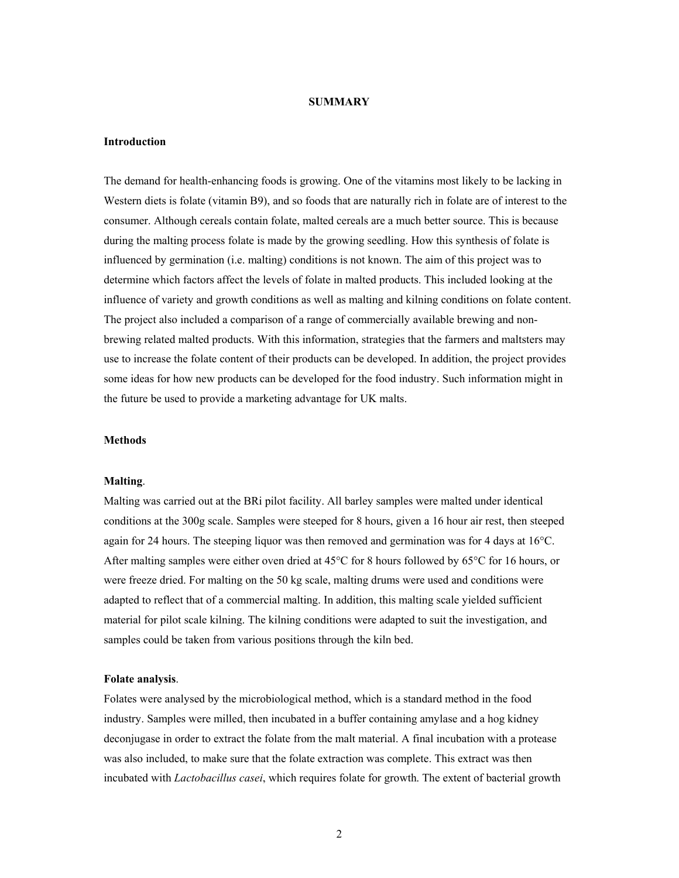#### **SUMMARY**

## **Introduction**

The demand for health-enhancing foods is growing. One of the vitamins most likely to be lacking in Western diets is folate (vitamin B9), and so foods that are naturally rich in folate are of interest to the consumer. Although cereals contain folate, malted cereals are a much better source. This is because during the malting process folate is made by the growing seedling. How this synthesis of folate is influenced by germination (i.e. malting) conditions is not known. The aim of this project was to determine which factors affect the levels of folate in malted products. This included looking at the influence of variety and growth conditions as well as malting and kilning conditions on folate content. The project also included a comparison of a range of commercially available brewing and nonbrewing related malted products. With this information, strategies that the farmers and maltsters may use to increase the folate content of their products can be developed. In addition, the project provides some ideas for how new products can be developed for the food industry. Such information might in the future be used to provide a marketing advantage for UK malts.

## **Methods**

#### **Malting**.

Malting was carried out at the BRi pilot facility. All barley samples were malted under identical conditions at the 300g scale. Samples were steeped for 8 hours, given a 16 hour air rest, then steeped again for 24 hours. The steeping liquor was then removed and germination was for 4 days at 16°C. After malting samples were either oven dried at 45°C for 8 hours followed by 65°C for 16 hours, or were freeze dried. For malting on the 50 kg scale, malting drums were used and conditions were adapted to reflect that of a commercial malting. In addition, this malting scale yielded sufficient material for pilot scale kilning. The kilning conditions were adapted to suit the investigation, and samples could be taken from various positions through the kiln bed.

#### **Folate analysis**.

Folates were analysed by the microbiological method, which is a standard method in the food industry. Samples were milled, then incubated in a buffer containing amylase and a hog kidney deconjugase in order to extract the folate from the malt material. A final incubation with a protease was also included, to make sure that the folate extraction was complete. This extract was then incubated with *Lactobacillus casei*, which requires folate for growth. The extent of bacterial growth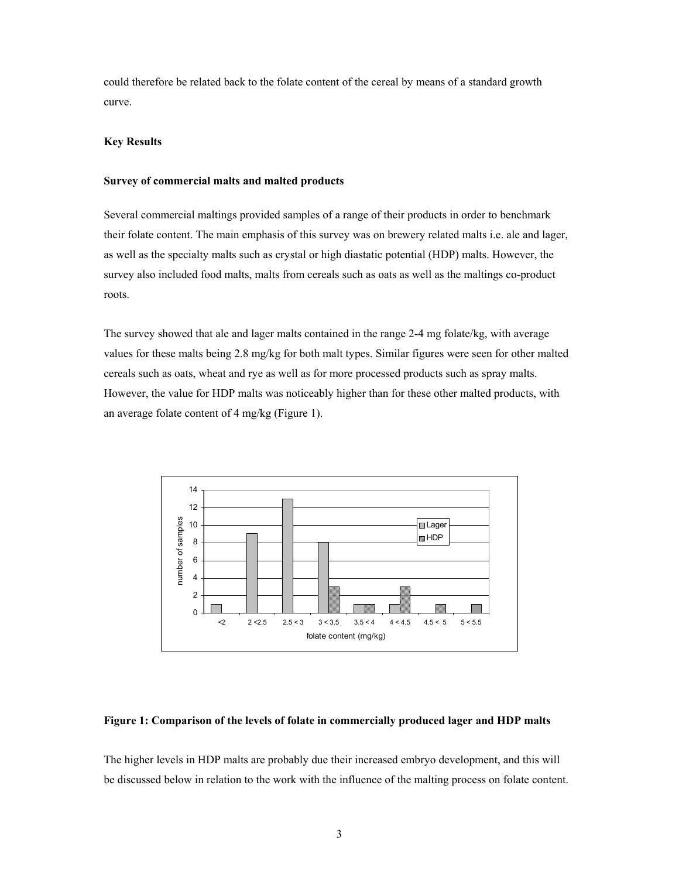could therefore be related back to the folate content of the cereal by means of a standard growth curve.

## **Key Results**

#### **Survey of commercial malts and malted products**

Several commercial maltings provided samples of a range of their products in order to benchmark their folate content. The main emphasis of this survey was on brewery related malts i.e. ale and lager, as well as the specialty malts such as crystal or high diastatic potential (HDP) malts. However, the survey also included food malts, malts from cereals such as oats as well as the maltings co-product roots.

The survey showed that ale and lager malts contained in the range 2-4 mg folate/kg, with average values for these malts being 2.8 mg/kg for both malt types. Similar figures were seen for other malted cereals such as oats, wheat and rye as well as for more processed products such as spray malts. However, the value for HDP malts was noticeably higher than for these other malted products, with an average folate content of 4 mg/kg (Figure 1).



#### **Figure 1: Comparison of the levels of folate in commercially produced lager and HDP malts**

The higher levels in HDP malts are probably due their increased embryo development, and this will be discussed below in relation to the work with the influence of the malting process on folate content.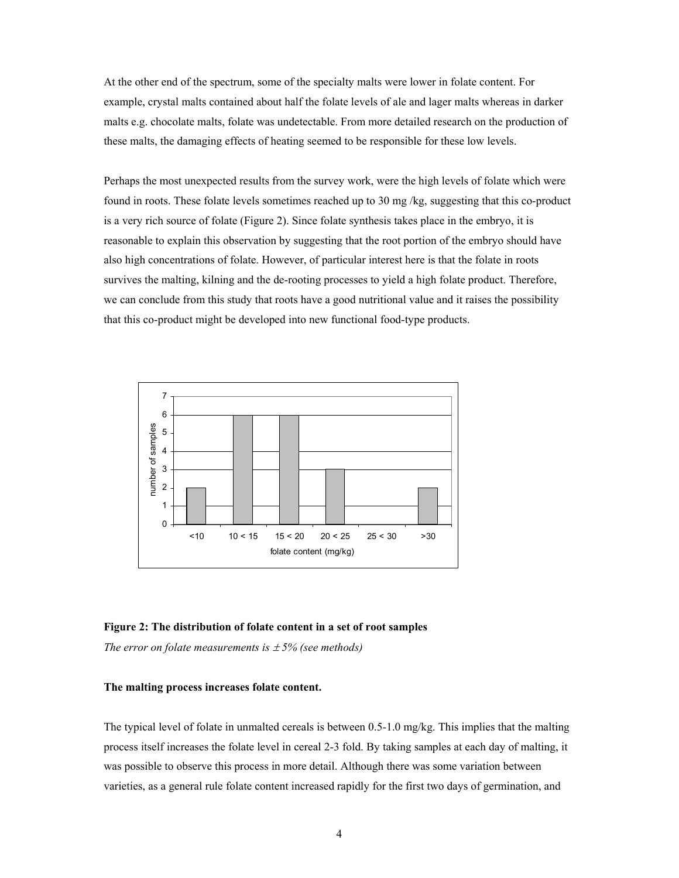At the other end of the spectrum, some of the specialty malts were lower in folate content. For example, crystal malts contained about half the folate levels of ale and lager malts whereas in darker malts e.g. chocolate malts, folate was undetectable. From more detailed research on the production of these malts, the damaging effects of heating seemed to be responsible for these low levels.

Perhaps the most unexpected results from the survey work, were the high levels of folate which were found in roots. These folate levels sometimes reached up to 30 mg /kg, suggesting that this co-product is a very rich source of folate (Figure 2). Since folate synthesis takes place in the embryo, it is reasonable to explain this observation by suggesting that the root portion of the embryo should have also high concentrations of folate. However, of particular interest here is that the folate in roots survives the malting, kilning and the de-rooting processes to yield a high folate product. Therefore, we can conclude from this study that roots have a good nutritional value and it raises the possibility that this co-product might be developed into new functional food-type products.



#### **Figure 2: The distribution of folate content in a set of root samples**

*The error on folate measurements is*  $\pm$  5% (see methods)

#### **The malting process increases folate content.**

The typical level of folate in unmalted cereals is between 0.5-1.0 mg/kg. This implies that the malting process itself increases the folate level in cereal 2-3 fold. By taking samples at each day of malting, it was possible to observe this process in more detail. Although there was some variation between varieties, as a general rule folate content increased rapidly for the first two days of germination, and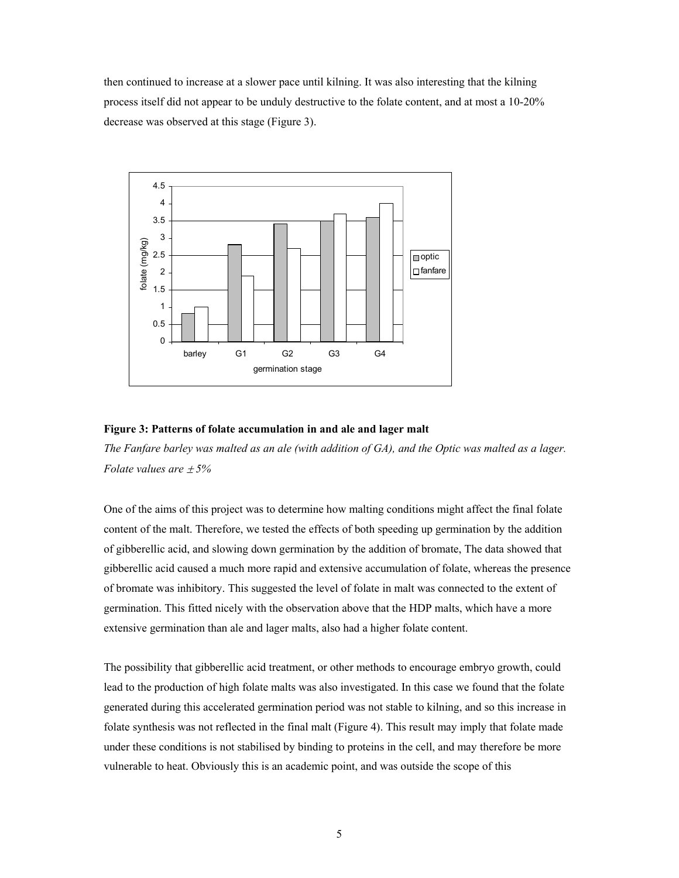then continued to increase at a slower pace until kilning. It was also interesting that the kilning process itself did not appear to be unduly destructive to the folate content, and at most a 10-20% decrease was observed at this stage (Figure 3).



## **Figure 3: Patterns of folate accumulation in and ale and lager malt**

*The Fanfare barley was malted as an ale (with addition of GA), and the Optic was malted as a lager. Folate values are* ± *5%* 

One of the aims of this project was to determine how malting conditions might affect the final folate content of the malt. Therefore, we tested the effects of both speeding up germination by the addition of gibberellic acid, and slowing down germination by the addition of bromate, The data showed that gibberellic acid caused a much more rapid and extensive accumulation of folate, whereas the presence of bromate was inhibitory. This suggested the level of folate in malt was connected to the extent of germination. This fitted nicely with the observation above that the HDP malts, which have a more extensive germination than ale and lager malts, also had a higher folate content.

The possibility that gibberellic acid treatment, or other methods to encourage embryo growth, could lead to the production of high folate malts was also investigated. In this case we found that the folate generated during this accelerated germination period was not stable to kilning, and so this increase in folate synthesis was not reflected in the final malt (Figure 4). This result may imply that folate made under these conditions is not stabilised by binding to proteins in the cell, and may therefore be more vulnerable to heat. Obviously this is an academic point, and was outside the scope of this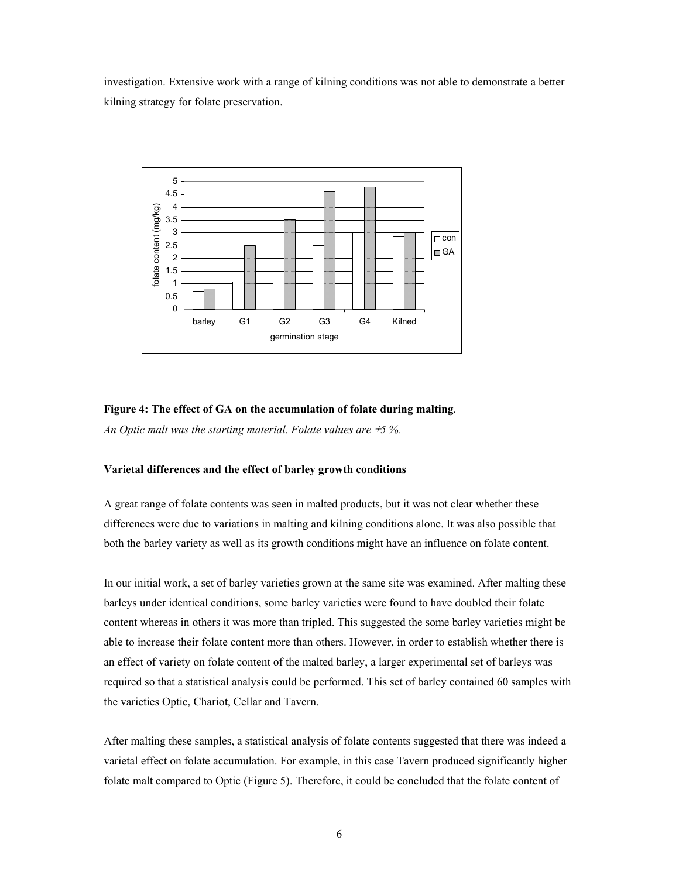investigation. Extensive work with a range of kilning conditions was not able to demonstrate a better kilning strategy for folate preservation.



## **Figure 4: The effect of GA on the accumulation of folate during malting**.

*An Optic malt was the starting material. Folate values are*  $\pm$ *5 %.* 

## **Varietal differences and the effect of barley growth conditions**

A great range of folate contents was seen in malted products, but it was not clear whether these differences were due to variations in malting and kilning conditions alone. It was also possible that both the barley variety as well as its growth conditions might have an influence on folate content.

In our initial work, a set of barley varieties grown at the same site was examined. After malting these barleys under identical conditions, some barley varieties were found to have doubled their folate content whereas in others it was more than tripled. This suggested the some barley varieties might be able to increase their folate content more than others. However, in order to establish whether there is an effect of variety on folate content of the malted barley, a larger experimental set of barleys was required so that a statistical analysis could be performed. This set of barley contained 60 samples with the varieties Optic, Chariot, Cellar and Tavern.

After malting these samples, a statistical analysis of folate contents suggested that there was indeed a varietal effect on folate accumulation. For example, in this case Tavern produced significantly higher folate malt compared to Optic (Figure 5). Therefore, it could be concluded that the folate content of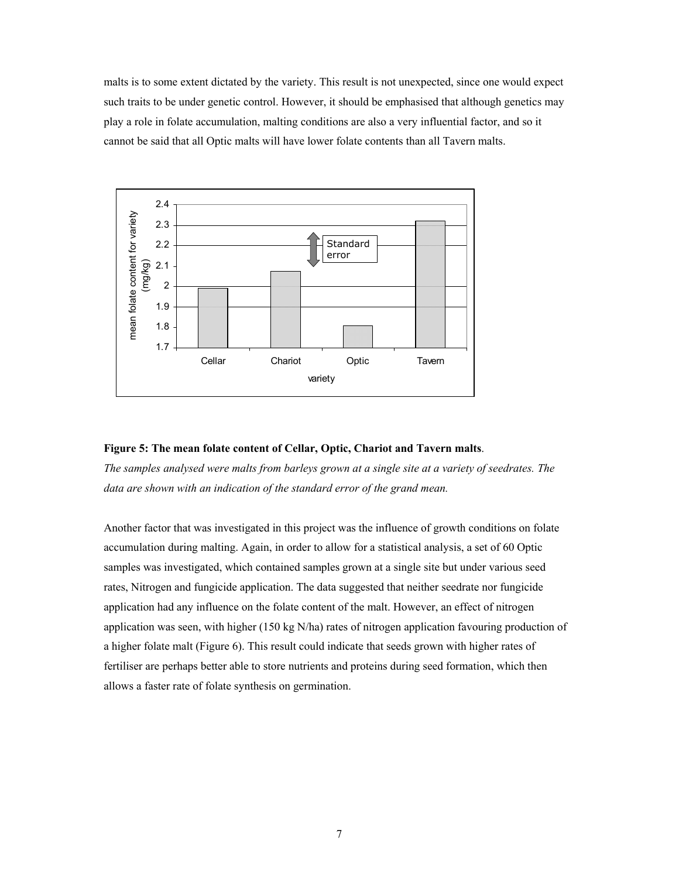malts is to some extent dictated by the variety. This result is not unexpected, since one would expect such traits to be under genetic control. However, it should be emphasised that although genetics may play a role in folate accumulation, malting conditions are also a very influential factor, and so it cannot be said that all Optic malts will have lower folate contents than all Tavern malts.



#### **Figure 5: The mean folate content of Cellar, Optic, Chariot and Tavern malts**.

*The samples analysed were malts from barleys grown at a single site at a variety of seedrates. The*  data are shown with an indication of the standard error of the grand mean.

Another factor that was investigated in this project was the influence of growth conditions on folate accumulation during malting. Again, in order to allow for a statistical analysis, a set of 60 Optic samples was investigated, which contained samples grown at a single site but under various seed rates, Nitrogen and fungicide application. The data suggested that neither seedrate nor fungicide application had any influence on the folate content of the malt. However, an effect of nitrogen application was seen, with higher (150 kg N/ha) rates of nitrogen application favouring production of a higher folate malt (Figure 6). This result could indicate that seeds grown with higher rates of fertiliser are perhaps better able to store nutrients and proteins during seed formation, which then allows a faster rate of folate synthesis on germination.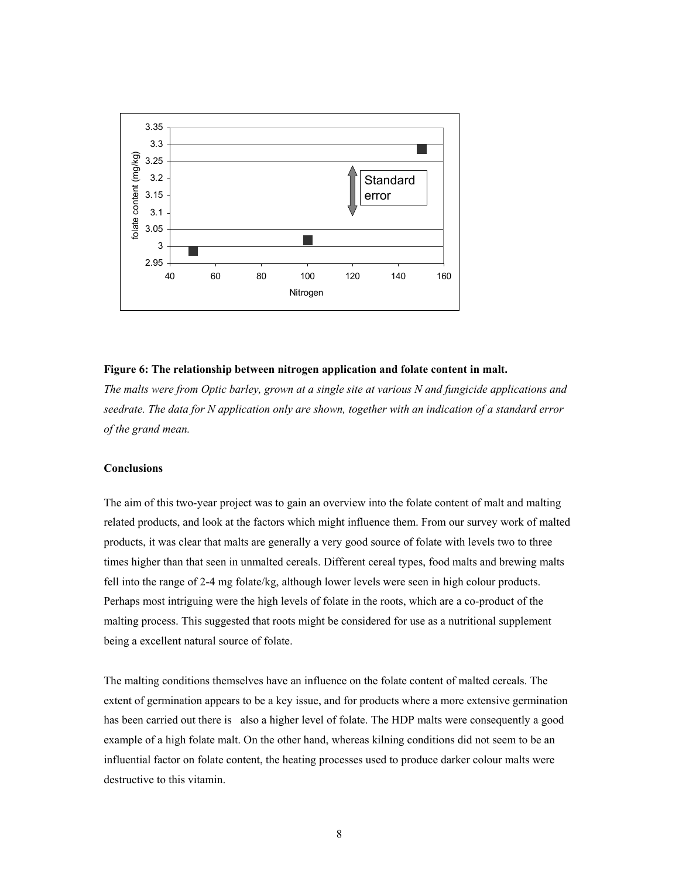

## **Figure 6: The relationship between nitrogen application and folate content in malt.**

*The malts were from Optic barley, grown at a single site at various N and fungicide applications and seedrate. The data for N application only are shown, together with an indication of a standard error of the grand mean.* 

## **Conclusions**

The aim of this two-year project was to gain an overview into the folate content of malt and malting related products, and look at the factors which might influence them. From our survey work of malted products, it was clear that malts are generally a very good source of folate with levels two to three times higher than that seen in unmalted cereals. Different cereal types, food malts and brewing malts fell into the range of 2-4 mg folate/kg, although lower levels were seen in high colour products. Perhaps most intriguing were the high levels of folate in the roots, which are a co-product of the malting process. This suggested that roots might be considered for use as a nutritional supplement being a excellent natural source of folate.

The malting conditions themselves have an influence on the folate content of malted cereals. The extent of germination appears to be a key issue, and for products where a more extensive germination has been carried out there is also a higher level of folate. The HDP malts were consequently a good example of a high folate malt. On the other hand, whereas kilning conditions did not seem to be an influential factor on folate content, the heating processes used to produce darker colour malts were destructive to this vitamin.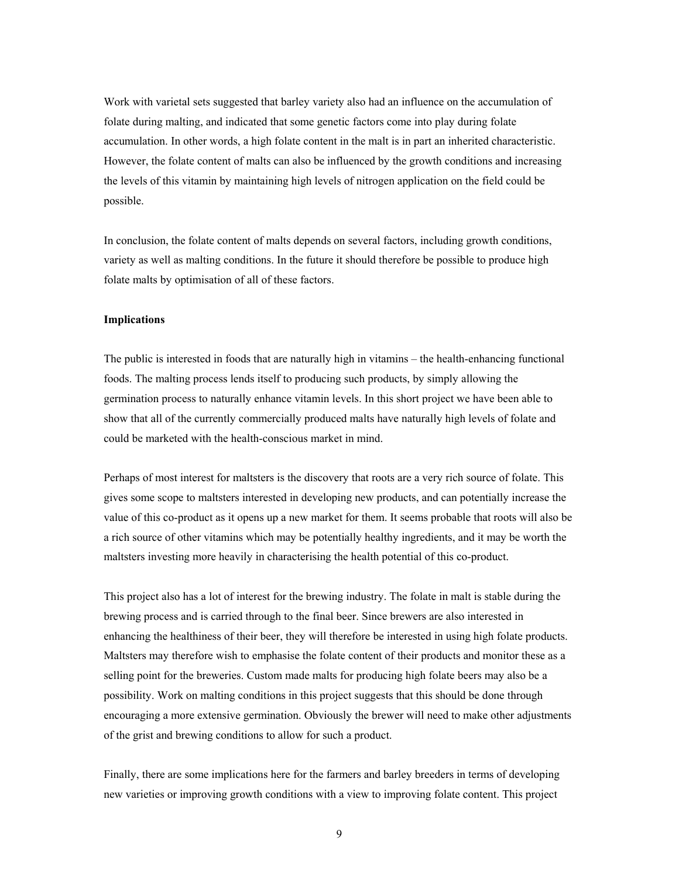Work with varietal sets suggested that barley variety also had an influence on the accumulation of folate during malting, and indicated that some genetic factors come into play during folate accumulation. In other words, a high folate content in the malt is in part an inherited characteristic. However, the folate content of malts can also be influenced by the growth conditions and increasing the levels of this vitamin by maintaining high levels of nitrogen application on the field could be possible.

In conclusion, the folate content of malts depends on several factors, including growth conditions, variety as well as malting conditions. In the future it should therefore be possible to produce high folate malts by optimisation of all of these factors.

#### **Implications**

The public is interested in foods that are naturally high in vitamins – the health-enhancing functional foods. The malting process lends itself to producing such products, by simply allowing the germination process to naturally enhance vitamin levels. In this short project we have been able to show that all of the currently commercially produced malts have naturally high levels of folate and could be marketed with the health-conscious market in mind.

Perhaps of most interest for maltsters is the discovery that roots are a very rich source of folate. This gives some scope to maltsters interested in developing new products, and can potentially increase the value of this co-product as it opens up a new market for them. It seems probable that roots will also be a rich source of other vitamins which may be potentially healthy ingredients, and it may be worth the maltsters investing more heavily in characterising the health potential of this co-product.

This project also has a lot of interest for the brewing industry. The folate in malt is stable during the brewing process and is carried through to the final beer. Since brewers are also interested in enhancing the healthiness of their beer, they will therefore be interested in using high folate products. Maltsters may therefore wish to emphasise the folate content of their products and monitor these as a selling point for the breweries. Custom made malts for producing high folate beers may also be a possibility. Work on malting conditions in this project suggests that this should be done through encouraging a more extensive germination. Obviously the brewer will need to make other adjustments of the grist and brewing conditions to allow for such a product.

Finally, there are some implications here for the farmers and barley breeders in terms of developing new varieties or improving growth conditions with a view to improving folate content. This project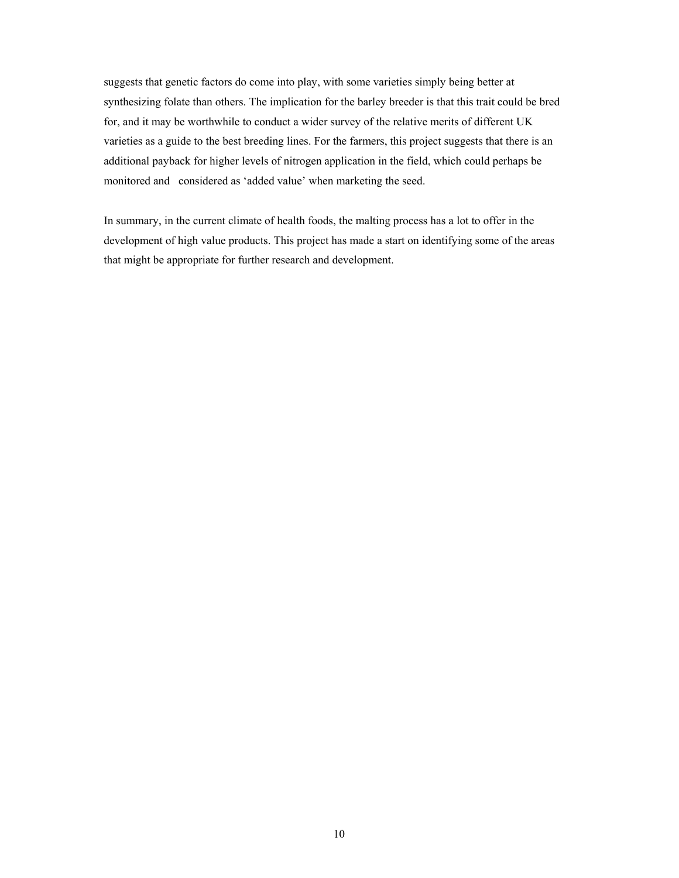suggests that genetic factors do come into play, with some varieties simply being better at synthesizing folate than others. The implication for the barley breeder is that this trait could be bred for, and it may be worthwhile to conduct a wider survey of the relative merits of different UK varieties as a guide to the best breeding lines. For the farmers, this project suggests that there is an additional payback for higher levels of nitrogen application in the field, which could perhaps be monitored and considered as 'added value' when marketing the seed.

In summary, in the current climate of health foods, the malting process has a lot to offer in the development of high value products. This project has made a start on identifying some of the areas that might be appropriate for further research and development.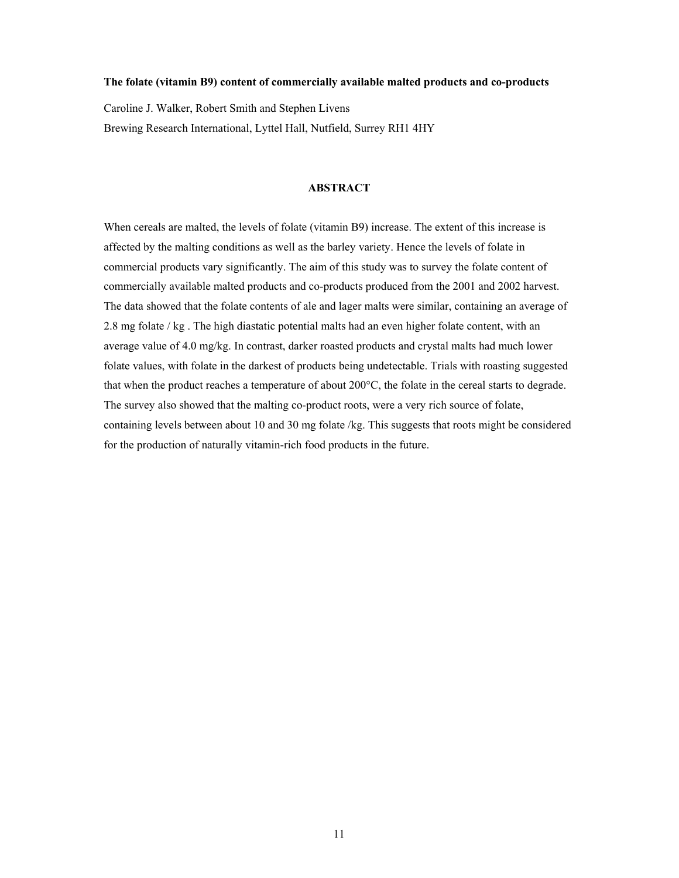#### **The folate (vitamin B9) content of commercially available malted products and co-products**

Caroline J. Walker, Robert Smith and Stephen Livens Brewing Research International, Lyttel Hall, Nutfield, Surrey RH1 4HY

#### **ABSTRACT**

When cereals are malted, the levels of folate (vitamin B9) increase. The extent of this increase is affected by the malting conditions as well as the barley variety. Hence the levels of folate in commercial products vary significantly. The aim of this study was to survey the folate content of commercially available malted products and co-products produced from the 2001 and 2002 harvest. The data showed that the folate contents of ale and lager malts were similar, containing an average of 2.8 mg folate / kg . The high diastatic potential malts had an even higher folate content, with an average value of 4.0 mg/kg. In contrast, darker roasted products and crystal malts had much lower folate values, with folate in the darkest of products being undetectable. Trials with roasting suggested that when the product reaches a temperature of about 200°C, the folate in the cereal starts to degrade. The survey also showed that the malting co-product roots, were a very rich source of folate, containing levels between about 10 and 30 mg folate /kg. This suggests that roots might be considered for the production of naturally vitamin-rich food products in the future.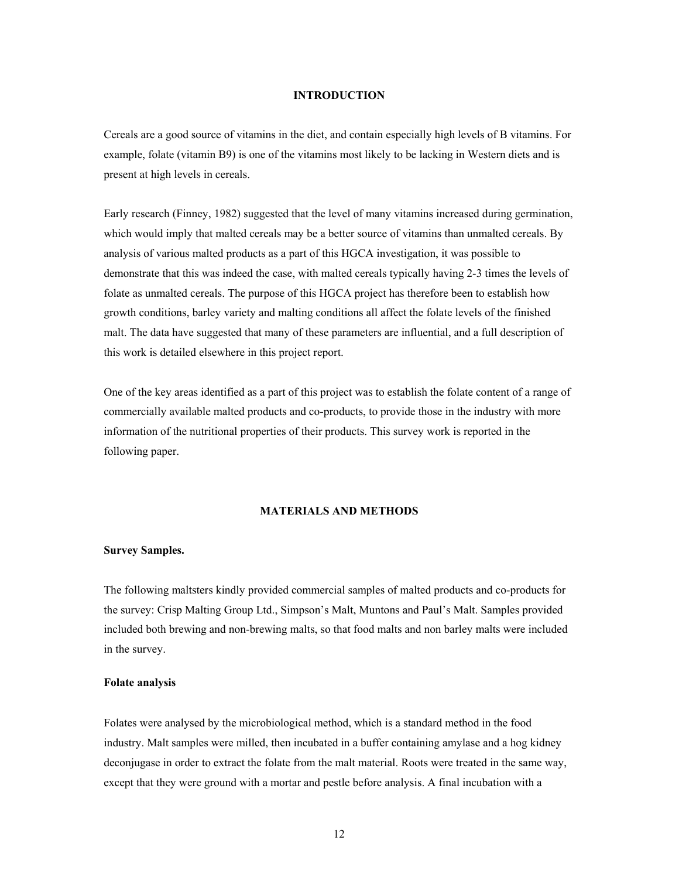## **INTRODUCTION**

Cereals are a good source of vitamins in the diet, and contain especially high levels of B vitamins. For example, folate (vitamin B9) is one of the vitamins most likely to be lacking in Western diets and is present at high levels in cereals.

Early research (Finney, 1982) suggested that the level of many vitamins increased during germination, which would imply that malted cereals may be a better source of vitamins than unmalted cereals. By analysis of various malted products as a part of this HGCA investigation, it was possible to demonstrate that this was indeed the case, with malted cereals typically having 2-3 times the levels of folate as unmalted cereals. The purpose of this HGCA project has therefore been to establish how growth conditions, barley variety and malting conditions all affect the folate levels of the finished malt. The data have suggested that many of these parameters are influential, and a full description of this work is detailed elsewhere in this project report.

One of the key areas identified as a part of this project was to establish the folate content of a range of commercially available malted products and co-products, to provide those in the industry with more information of the nutritional properties of their products. This survey work is reported in the following paper.

## **MATERIALS AND METHODS**

#### **Survey Samples.**

The following maltsters kindly provided commercial samples of malted products and co-products for the survey: Crisp Malting Group Ltd., Simpson's Malt, Muntons and Paul's Malt. Samples provided included both brewing and non-brewing malts, so that food malts and non barley malts were included in the survey.

## **Folate analysis**

Folates were analysed by the microbiological method, which is a standard method in the food industry. Malt samples were milled, then incubated in a buffer containing amylase and a hog kidney deconjugase in order to extract the folate from the malt material. Roots were treated in the same way, except that they were ground with a mortar and pestle before analysis. A final incubation with a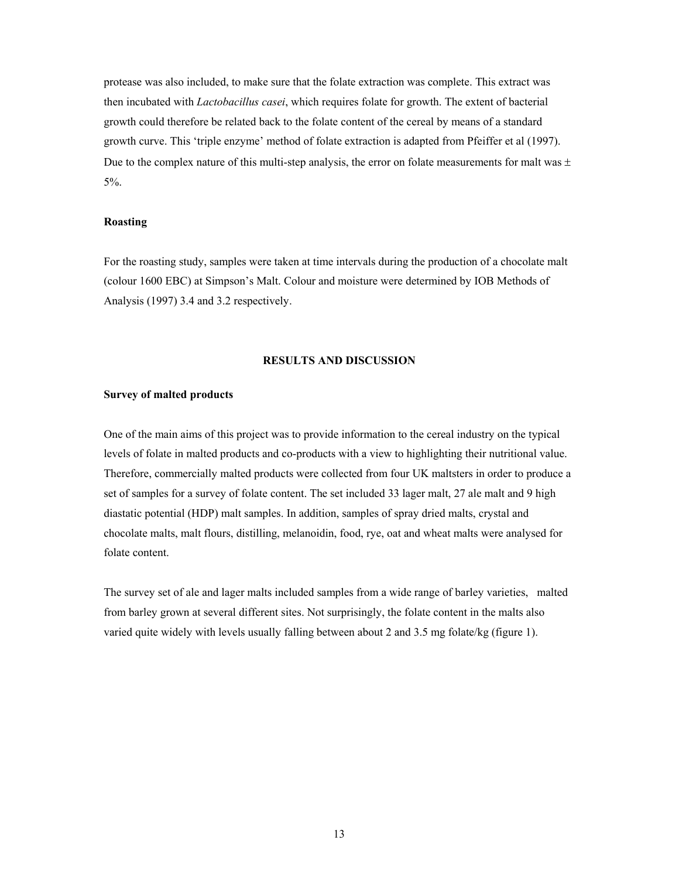protease was also included, to make sure that the folate extraction was complete. This extract was then incubated with *Lactobacillus casei*, which requires folate for growth. The extent of bacterial growth could therefore be related back to the folate content of the cereal by means of a standard growth curve. This 'triple enzyme' method of folate extraction is adapted from Pfeiffer et al (1997). Due to the complex nature of this multi-step analysis, the error on folate measurements for malt was  $\pm$ 5%.

#### **Roasting**

For the roasting study, samples were taken at time intervals during the production of a chocolate malt (colour 1600 EBC) at Simpson's Malt. Colour and moisture were determined by IOB Methods of Analysis (1997) 3.4 and 3.2 respectively.

#### **RESULTS AND DISCUSSION**

#### **Survey of malted products**

One of the main aims of this project was to provide information to the cereal industry on the typical levels of folate in malted products and co-products with a view to highlighting their nutritional value. Therefore, commercially malted products were collected from four UK maltsters in order to produce a set of samples for a survey of folate content. The set included 33 lager malt, 27 ale malt and 9 high diastatic potential (HDP) malt samples. In addition, samples of spray dried malts, crystal and chocolate malts, malt flours, distilling, melanoidin, food, rye, oat and wheat malts were analysed for folate content.

The survey set of ale and lager malts included samples from a wide range of barley varieties, malted from barley grown at several different sites. Not surprisingly, the folate content in the malts also varied quite widely with levels usually falling between about 2 and 3.5 mg folate/kg (figure 1).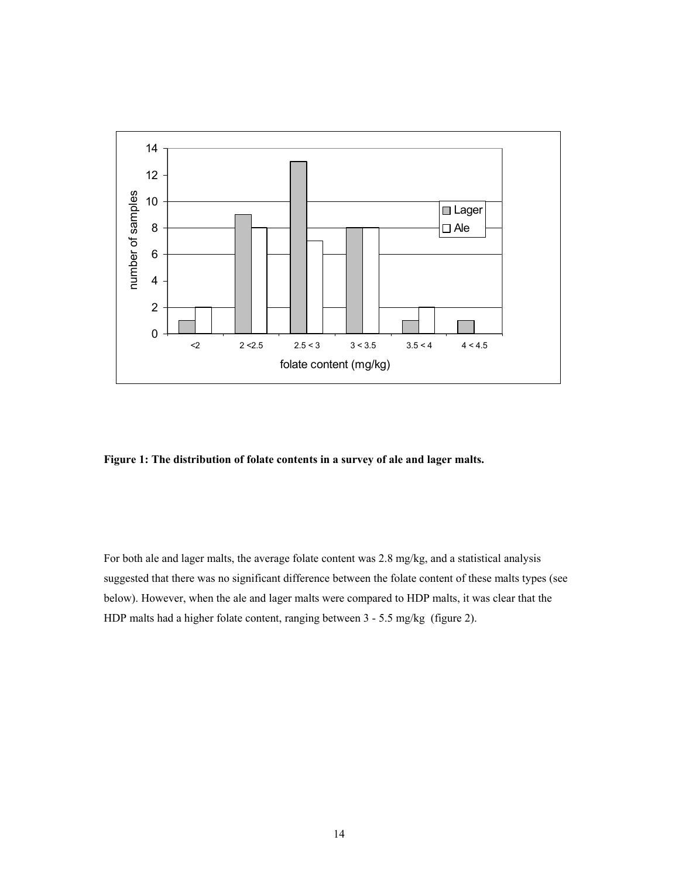

**Figure 1: The distribution of folate contents in a survey of ale and lager malts.** 

For both ale and lager malts, the average folate content was 2.8 mg/kg, and a statistical analysis suggested that there was no significant difference between the folate content of these malts types (see below). However, when the ale and lager malts were compared to HDP malts, it was clear that the HDP malts had a higher folate content, ranging between 3 - 5.5 mg/kg (figure 2).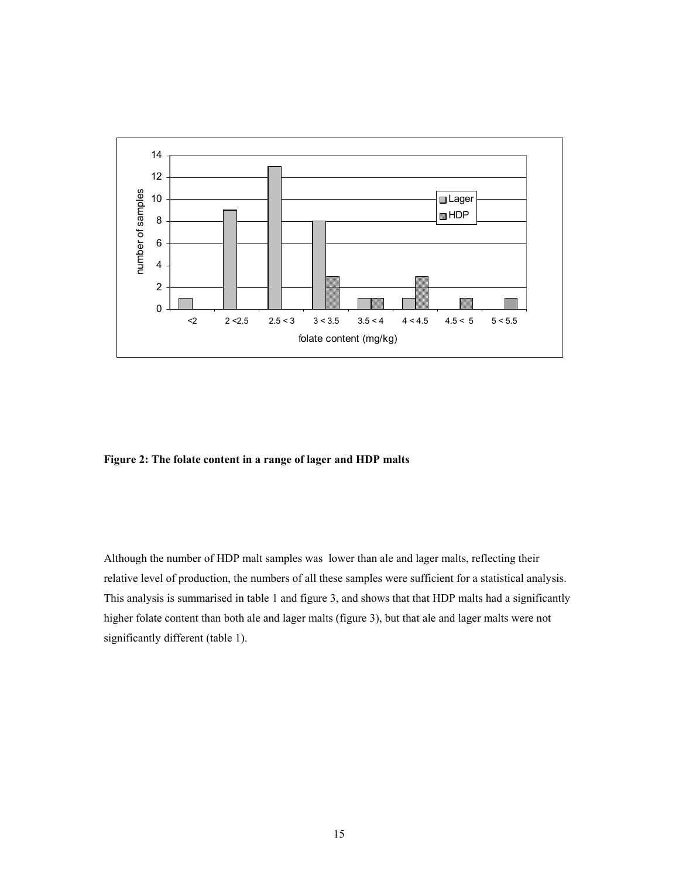

**Figure 2: The folate content in a range of lager and HDP malts** 

Although the number of HDP malt samples was lower than ale and lager malts, reflecting their relative level of production, the numbers of all these samples were sufficient for a statistical analysis. This analysis is summarised in table 1 and figure 3, and shows that that HDP malts had a significantly higher folate content than both ale and lager malts (figure 3), but that ale and lager malts were not significantly different (table 1).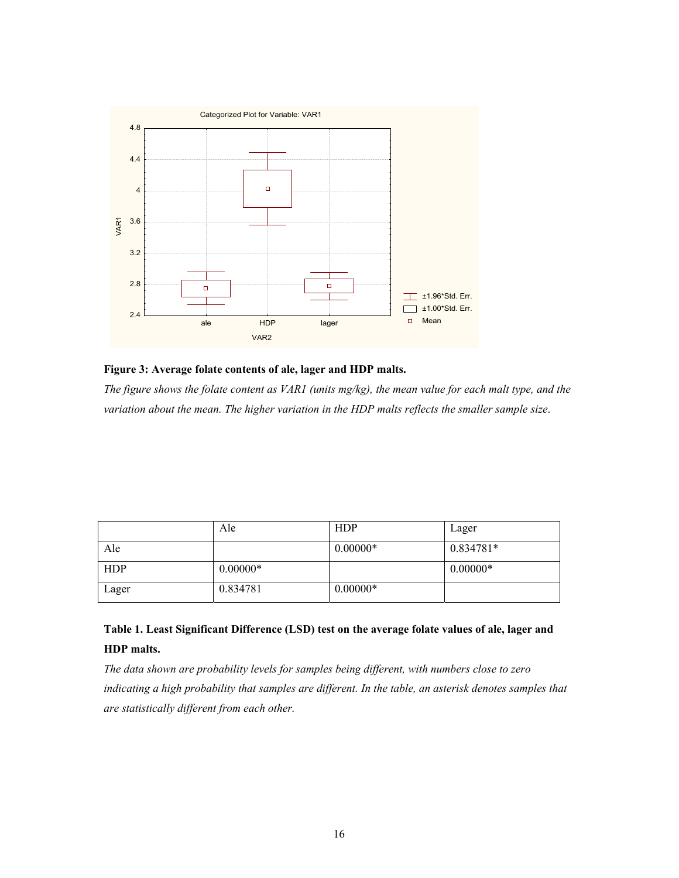

**Figure 3: Average folate contents of ale, lager and HDP malts.** 

*The figure shows the folate content as VAR1 (units mg/kg), the mean value for each malt type, and the variation about the mean. The higher variation in the HDP malts reflects the smaller sample size*.

|       | Ale        | <b>HDP</b> | Lager      |
|-------|------------|------------|------------|
| Ale   |            | $0.00000*$ | 0.834781*  |
| HDP   | $0.00000*$ |            | $0.00000*$ |
| Lager | 0.834781   | $0.00000*$ |            |

# **Table 1. Least Significant Difference (LSD) test on the average folate values of ale, lager and HDP malts.**

*The data shown are probability levels for samples being different, with numbers close to zero indicating a high probability that samples are different. In the table, an asterisk denotes samples that are statistically different from each other.*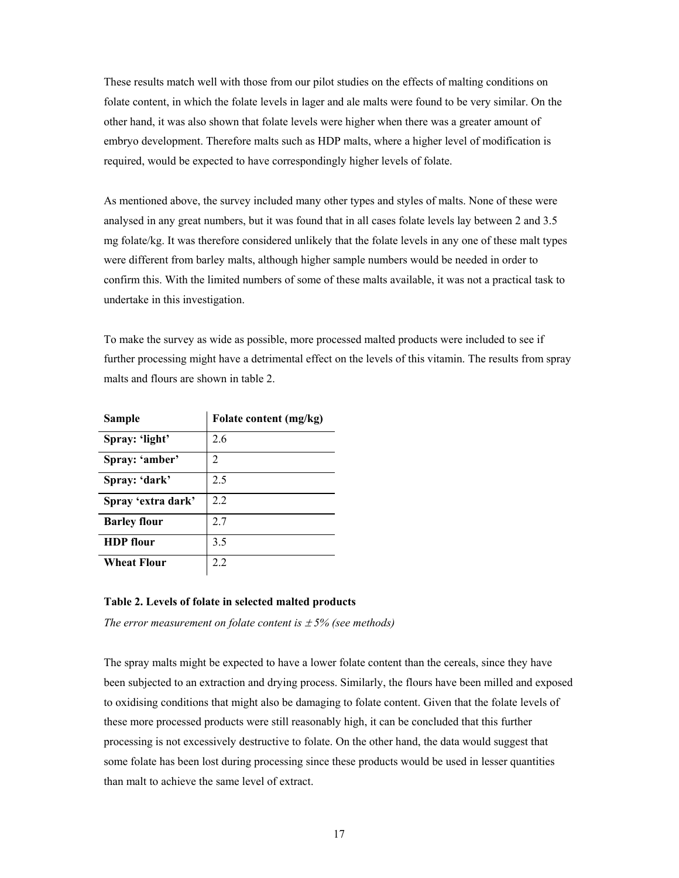These results match well with those from our pilot studies on the effects of malting conditions on folate content, in which the folate levels in lager and ale malts were found to be very similar. On the other hand, it was also shown that folate levels were higher when there was a greater amount of embryo development. Therefore malts such as HDP malts, where a higher level of modification is required, would be expected to have correspondingly higher levels of folate.

As mentioned above, the survey included many other types and styles of malts. None of these were analysed in any great numbers, but it was found that in all cases folate levels lay between 2 and 3.5 mg folate/kg. It was therefore considered unlikely that the folate levels in any one of these malt types were different from barley malts, although higher sample numbers would be needed in order to confirm this. With the limited numbers of some of these malts available, it was not a practical task to undertake in this investigation.

To make the survey as wide as possible, more processed malted products were included to see if further processing might have a detrimental effect on the levels of this vitamin. The results from spray malts and flours are shown in table 2.

| Sample              | Folate content (mg/kg) |
|---------------------|------------------------|
| Spray: 'light'      | 26                     |
| Spray: 'amber'      | 2                      |
| Spray: 'dark'       | 2.5                    |
| Spray 'extra dark'  | 22                     |
| <b>Barley flour</b> | 27                     |
| <b>HDP</b> flour    | 3.5                    |
| Wheat Flour         | 2.2                    |

### **Table 2. Levels of folate in selected malted products**

*The error measurement on folate content is*  $\pm$  5% (see methods)

The spray malts might be expected to have a lower folate content than the cereals, since they have been subjected to an extraction and drying process. Similarly, the flours have been milled and exposed to oxidising conditions that might also be damaging to folate content. Given that the folate levels of these more processed products were still reasonably high, it can be concluded that this further processing is not excessively destructive to folate. On the other hand, the data would suggest that some folate has been lost during processing since these products would be used in lesser quantities than malt to achieve the same level of extract.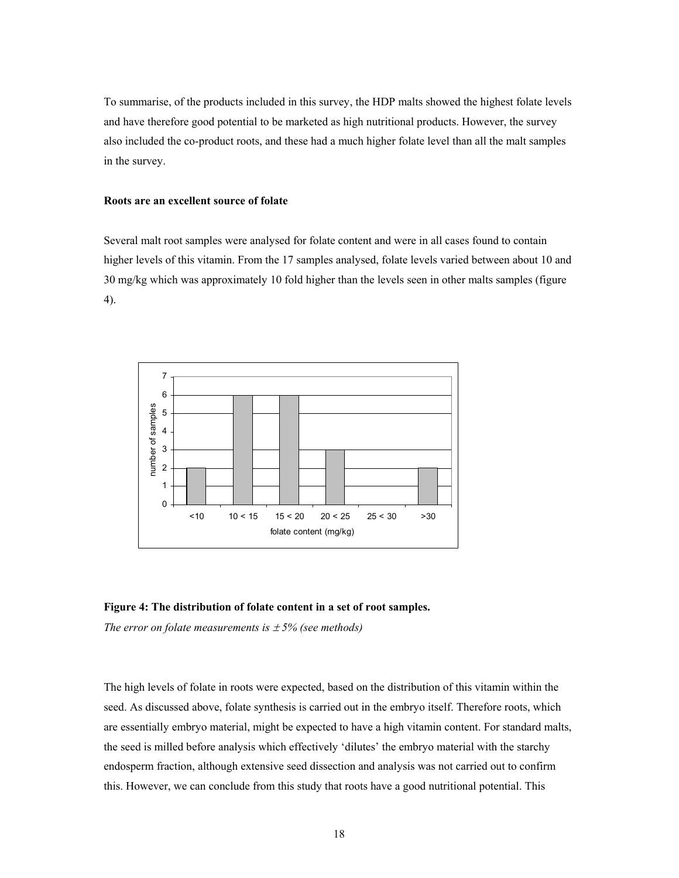To summarise, of the products included in this survey, the HDP malts showed the highest folate levels and have therefore good potential to be marketed as high nutritional products. However, the survey also included the co-product roots, and these had a much higher folate level than all the malt samples in the survey.

## **Roots are an excellent source of folate**

Several malt root samples were analysed for folate content and were in all cases found to contain higher levels of this vitamin. From the 17 samples analysed, folate levels varied between about 10 and 30 mg/kg which was approximately 10 fold higher than the levels seen in other malts samples (figure 4).



**Figure 4: The distribution of folate content in a set of root samples.** 

*The error on folate measurements is*  $\pm$  5% (see methods)

The high levels of folate in roots were expected, based on the distribution of this vitamin within the seed. As discussed above, folate synthesis is carried out in the embryo itself. Therefore roots, which are essentially embryo material, might be expected to have a high vitamin content. For standard malts, the seed is milled before analysis which effectively 'dilutes' the embryo material with the starchy endosperm fraction, although extensive seed dissection and analysis was not carried out to confirm this. However, we can conclude from this study that roots have a good nutritional potential. This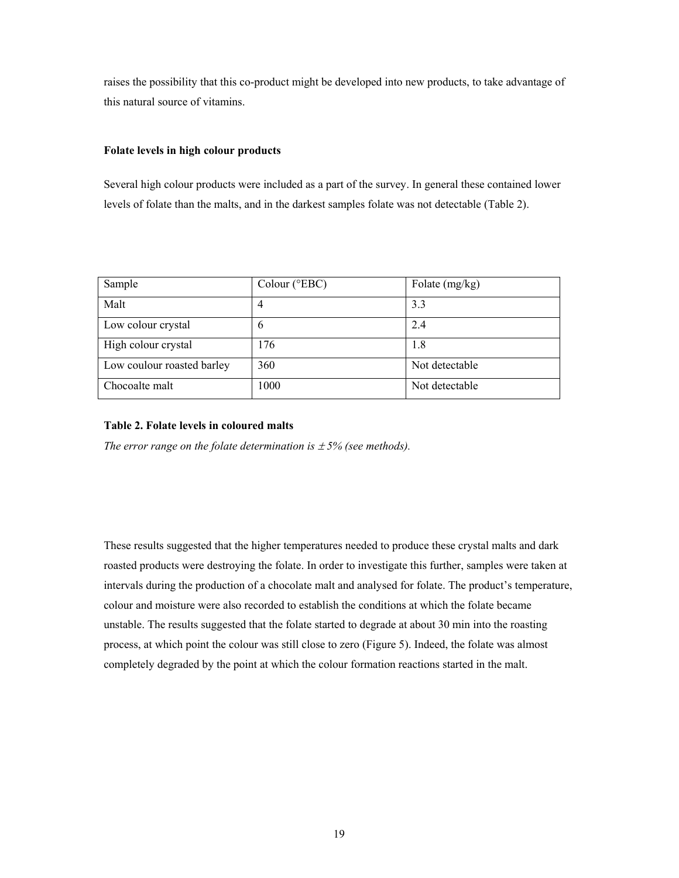raises the possibility that this co-product might be developed into new products, to take advantage of this natural source of vitamins.

## **Folate levels in high colour products**

Several high colour products were included as a part of the survey. In general these contained lower levels of folate than the malts, and in the darkest samples folate was not detectable (Table 2).

| Sample                     | Colour ( $EBC$ ) | Folate $(mg/kg)$ |
|----------------------------|------------------|------------------|
| Malt                       | 4                | 3.3              |
| Low colour crystal         | 6                | 2.4              |
| High colour crystal        | 176              | 1.8              |
| Low coulour roasted barley | 360              | Not detectable   |
| Chocoalte malt             | 1000             | Not detectable   |

## **Table 2. Folate levels in coloured malts**

*The error range on the folate determination is*  $\pm$  5% (see methods).

These results suggested that the higher temperatures needed to produce these crystal malts and dark roasted products were destroying the folate. In order to investigate this further, samples were taken at intervals during the production of a chocolate malt and analysed for folate. The product's temperature, colour and moisture were also recorded to establish the conditions at which the folate became unstable. The results suggested that the folate started to degrade at about 30 min into the roasting process, at which point the colour was still close to zero (Figure 5). Indeed, the folate was almost completely degraded by the point at which the colour formation reactions started in the malt.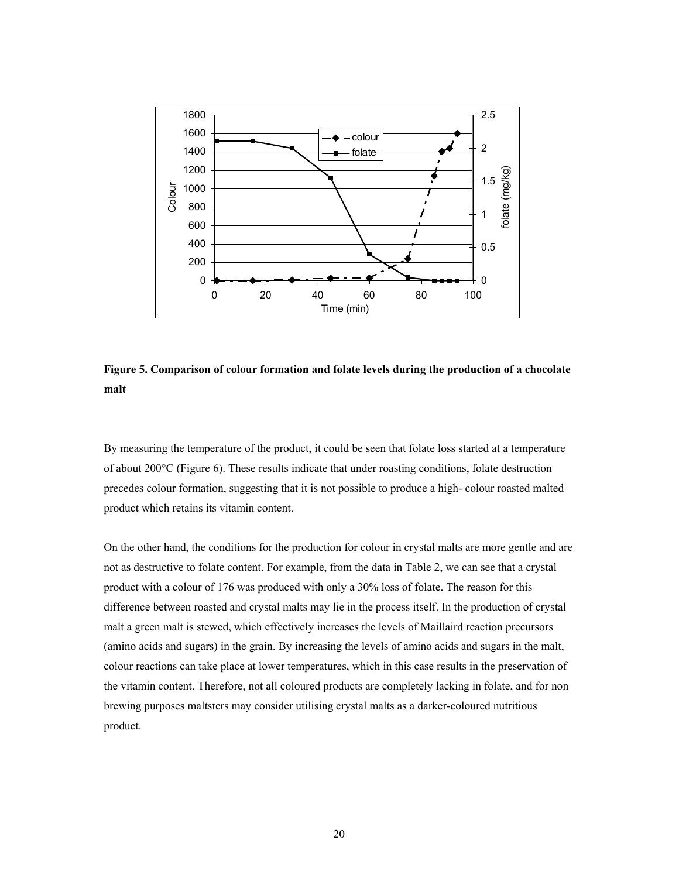

**Figure 5. Comparison of colour formation and folate levels during the production of a chocolate malt** 

By measuring the temperature of the product, it could be seen that folate loss started at a temperature of about 200°C (Figure 6). These results indicate that under roasting conditions, folate destruction precedes colour formation, suggesting that it is not possible to produce a high- colour roasted malted product which retains its vitamin content.

On the other hand, the conditions for the production for colour in crystal malts are more gentle and are not as destructive to folate content. For example, from the data in Table 2, we can see that a crystal product with a colour of 176 was produced with only a 30% loss of folate. The reason for this difference between roasted and crystal malts may lie in the process itself. In the production of crystal malt a green malt is stewed, which effectively increases the levels of Maillaird reaction precursors (amino acids and sugars) in the grain. By increasing the levels of amino acids and sugars in the malt, colour reactions can take place at lower temperatures, which in this case results in the preservation of the vitamin content. Therefore, not all coloured products are completely lacking in folate, and for non brewing purposes maltsters may consider utilising crystal malts as a darker-coloured nutritious product.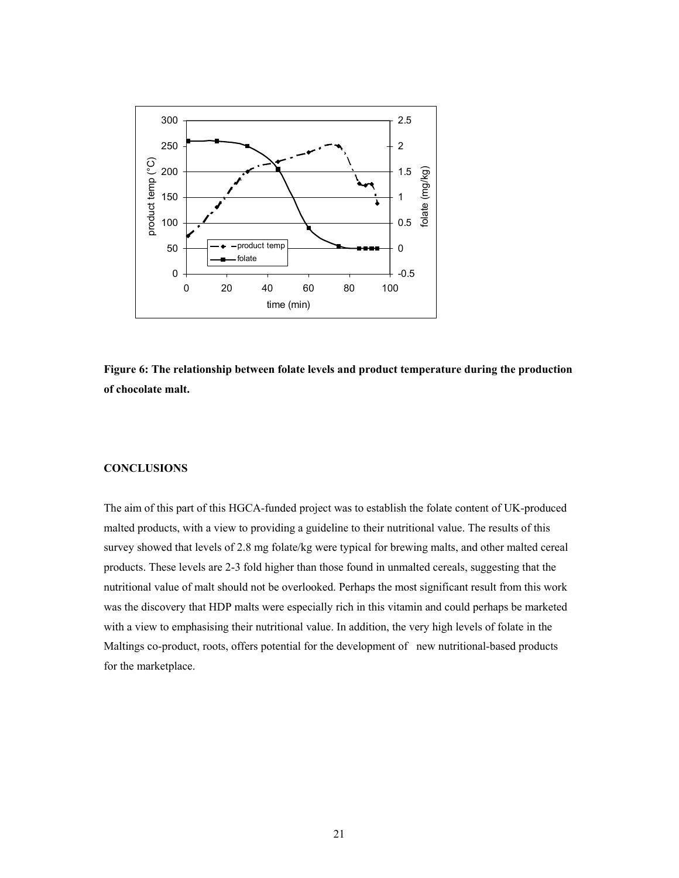



#### **CONCLUSIONS**

The aim of this part of this HGCA-funded project was to establish the folate content of UK-produced malted products, with a view to providing a guideline to their nutritional value. The results of this survey showed that levels of 2.8 mg folate/kg were typical for brewing malts, and other malted cereal products. These levels are 2-3 fold higher than those found in unmalted cereals, suggesting that the nutritional value of malt should not be overlooked. Perhaps the most significant result from this work was the discovery that HDP malts were especially rich in this vitamin and could perhaps be marketed with a view to emphasising their nutritional value. In addition, the very high levels of folate in the Maltings co-product, roots, offers potential for the development of new nutritional-based products for the marketplace.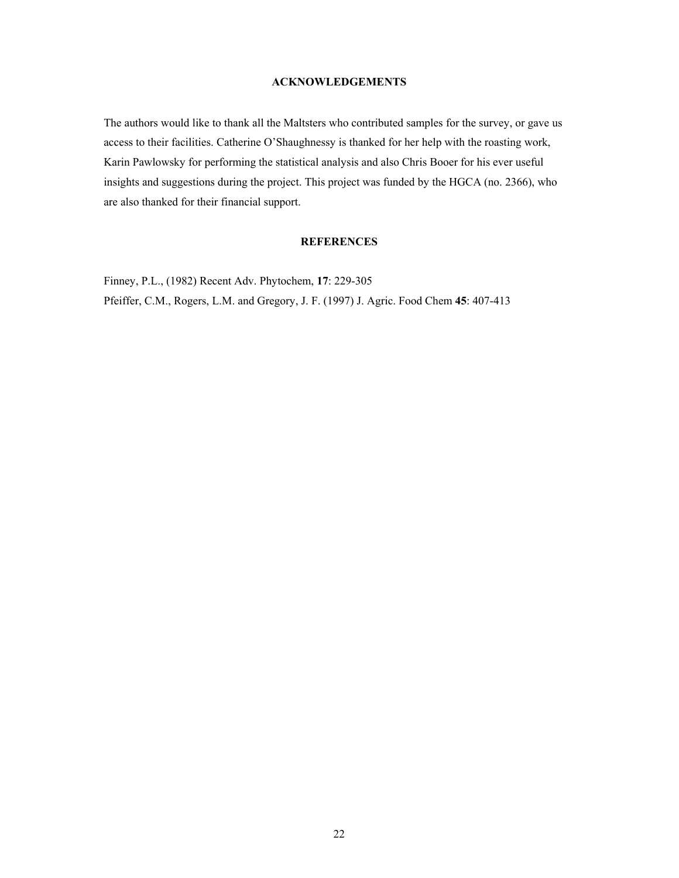## **ACKNOWLEDGEMENTS**

The authors would like to thank all the Maltsters who contributed samples for the survey, or gave us access to their facilities. Catherine O'Shaughnessy is thanked for her help with the roasting work, Karin Pawlowsky for performing the statistical analysis and also Chris Booer for his ever useful insights and suggestions during the project. This project was funded by the HGCA (no. 2366), who are also thanked for their financial support.

## **REFERENCES**

Finney, P.L., (1982) Recent Adv. Phytochem, **17**: 229-305 Pfeiffer, C.M., Rogers, L.M. and Gregory, J. F. (1997) J. Agric. Food Chem **45**: 407-413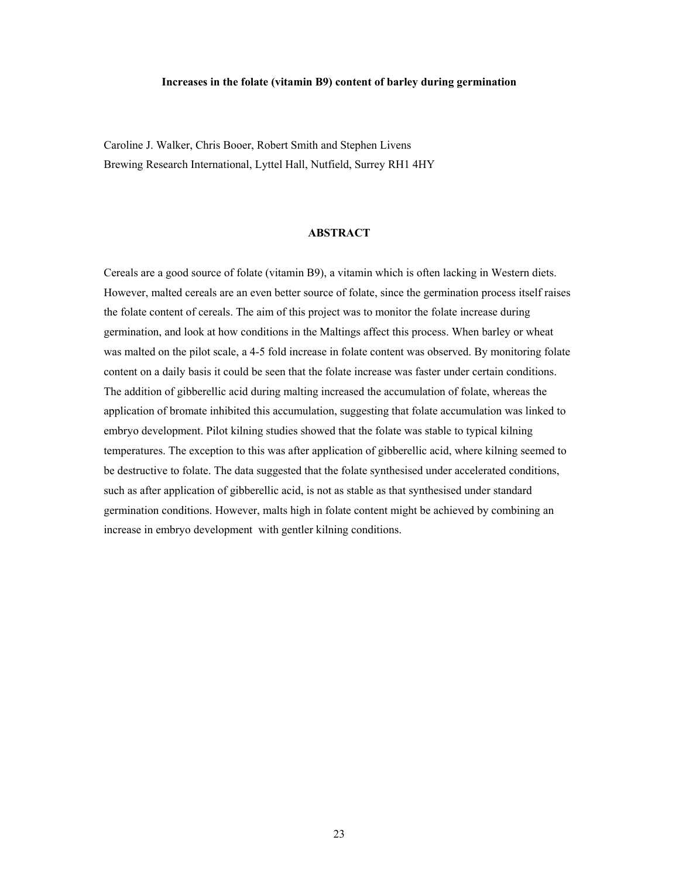#### **Increases in the folate (vitamin B9) content of barley during germination**

Caroline J. Walker, Chris Booer, Robert Smith and Stephen Livens Brewing Research International, Lyttel Hall, Nutfield, Surrey RH1 4HY

## **ABSTRACT**

Cereals are a good source of folate (vitamin B9), a vitamin which is often lacking in Western diets. However, malted cereals are an even better source of folate, since the germination process itself raises the folate content of cereals. The aim of this project was to monitor the folate increase during germination, and look at how conditions in the Maltings affect this process. When barley or wheat was malted on the pilot scale, a 4-5 fold increase in folate content was observed. By monitoring folate content on a daily basis it could be seen that the folate increase was faster under certain conditions. The addition of gibberellic acid during malting increased the accumulation of folate, whereas the application of bromate inhibited this accumulation, suggesting that folate accumulation was linked to embryo development. Pilot kilning studies showed that the folate was stable to typical kilning temperatures. The exception to this was after application of gibberellic acid, where kilning seemed to be destructive to folate. The data suggested that the folate synthesised under accelerated conditions, such as after application of gibberellic acid, is not as stable as that synthesised under standard germination conditions. However, malts high in folate content might be achieved by combining an increase in embryo development with gentler kilning conditions.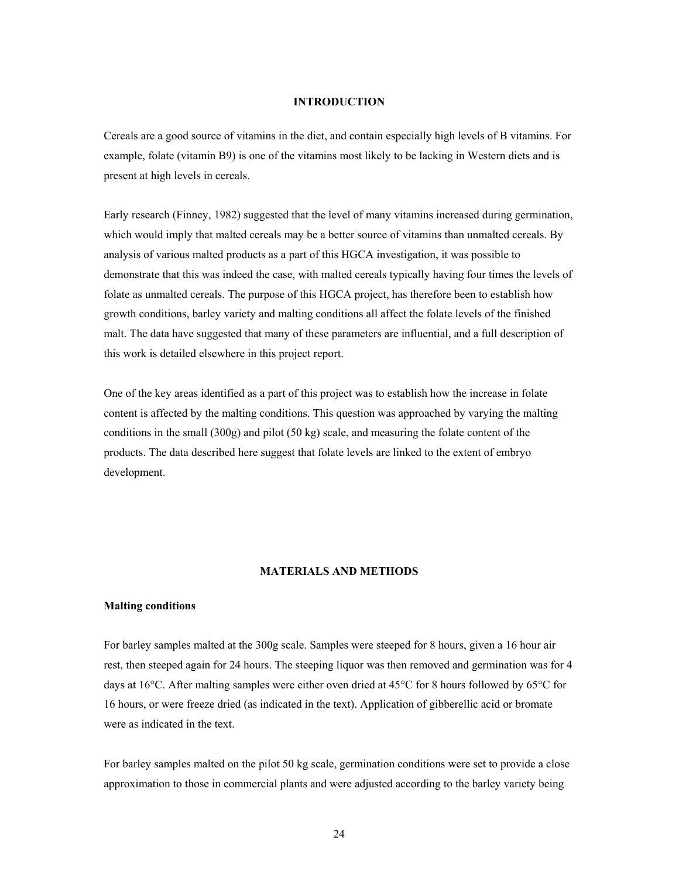## **INTRODUCTION**

Cereals are a good source of vitamins in the diet, and contain especially high levels of B vitamins. For example, folate (vitamin B9) is one of the vitamins most likely to be lacking in Western diets and is present at high levels in cereals.

Early research (Finney, 1982) suggested that the level of many vitamins increased during germination, which would imply that malted cereals may be a better source of vitamins than unmalted cereals. By analysis of various malted products as a part of this HGCA investigation, it was possible to demonstrate that this was indeed the case, with malted cereals typically having four times the levels of folate as unmalted cereals. The purpose of this HGCA project, has therefore been to establish how growth conditions, barley variety and malting conditions all affect the folate levels of the finished malt. The data have suggested that many of these parameters are influential, and a full description of this work is detailed elsewhere in this project report.

One of the key areas identified as a part of this project was to establish how the increase in folate content is affected by the malting conditions. This question was approached by varying the malting conditions in the small (300g) and pilot (50 kg) scale, and measuring the folate content of the products. The data described here suggest that folate levels are linked to the extent of embryo development.

## **MATERIALS AND METHODS**

#### **Malting conditions**

For barley samples malted at the 300g scale. Samples were steeped for 8 hours, given a 16 hour air rest, then steeped again for 24 hours. The steeping liquor was then removed and germination was for 4 days at 16°C. After malting samples were either oven dried at 45°C for 8 hours followed by 65°C for 16 hours, or were freeze dried (as indicated in the text). Application of gibberellic acid or bromate were as indicated in the text.

For barley samples malted on the pilot 50 kg scale, germination conditions were set to provide a close approximation to those in commercial plants and were adjusted according to the barley variety being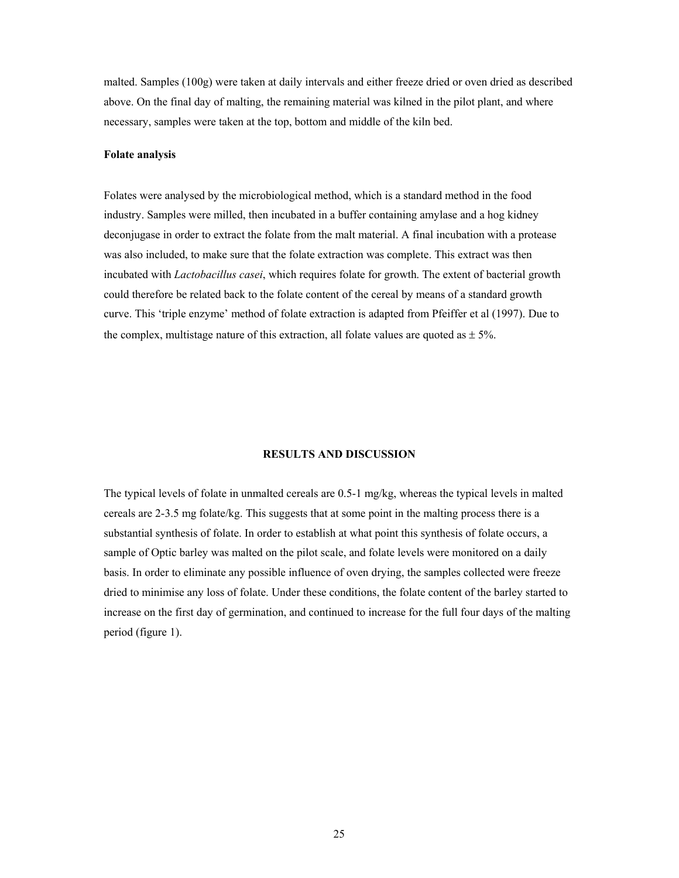malted. Samples (100g) were taken at daily intervals and either freeze dried or oven dried as described above. On the final day of malting, the remaining material was kilned in the pilot plant, and where necessary, samples were taken at the top, bottom and middle of the kiln bed.

## **Folate analysis**

Folates were analysed by the microbiological method, which is a standard method in the food industry. Samples were milled, then incubated in a buffer containing amylase and a hog kidney deconjugase in order to extract the folate from the malt material. A final incubation with a protease was also included, to make sure that the folate extraction was complete. This extract was then incubated with *Lactobacillus casei*, which requires folate for growth. The extent of bacterial growth could therefore be related back to the folate content of the cereal by means of a standard growth curve. This 'triple enzyme' method of folate extraction is adapted from Pfeiffer et al (1997). Due to the complex, multistage nature of this extraction, all folate values are quoted as  $\pm$  5%.

## **RESULTS AND DISCUSSION**

The typical levels of folate in unmalted cereals are 0.5-1 mg/kg, whereas the typical levels in malted cereals are 2-3.5 mg folate/kg. This suggests that at some point in the malting process there is a substantial synthesis of folate. In order to establish at what point this synthesis of folate occurs, a sample of Optic barley was malted on the pilot scale, and folate levels were monitored on a daily basis. In order to eliminate any possible influence of oven drying, the samples collected were freeze dried to minimise any loss of folate. Under these conditions, the folate content of the barley started to increase on the first day of germination, and continued to increase for the full four days of the malting period (figure 1).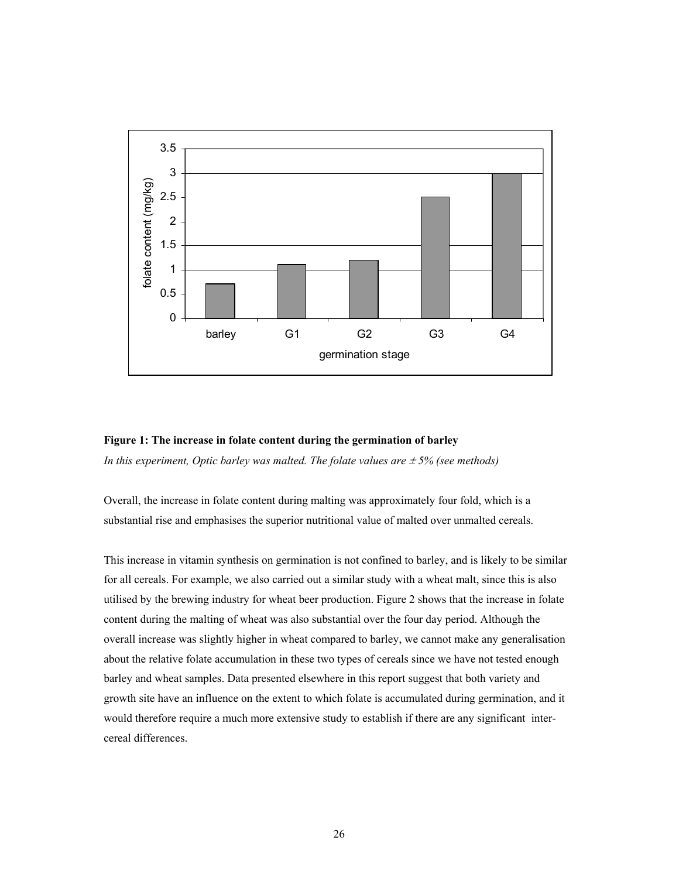

# **Figure 1: The increase in folate content during the germination of barley**

*In this experiment, Optic barley was malted. The folate values are*  $\pm$  *5% (see methods)* 

Overall, the increase in folate content during malting was approximately four fold, which is a substantial rise and emphasises the superior nutritional value of malted over unmalted cereals.

This increase in vitamin synthesis on germination is not confined to barley, and is likely to be similar for all cereals. For example, we also carried out a similar study with a wheat malt, since this is also utilised by the brewing industry for wheat beer production. Figure 2 shows that the increase in folate content during the malting of wheat was also substantial over the four day period. Although the overall increase was slightly higher in wheat compared to barley, we cannot make any generalisation about the relative folate accumulation in these two types of cereals since we have not tested enough barley and wheat samples. Data presented elsewhere in this report suggest that both variety and growth site have an influence on the extent to which folate is accumulated during germination, and it would therefore require a much more extensive study to establish if there are any significant intercereal differences.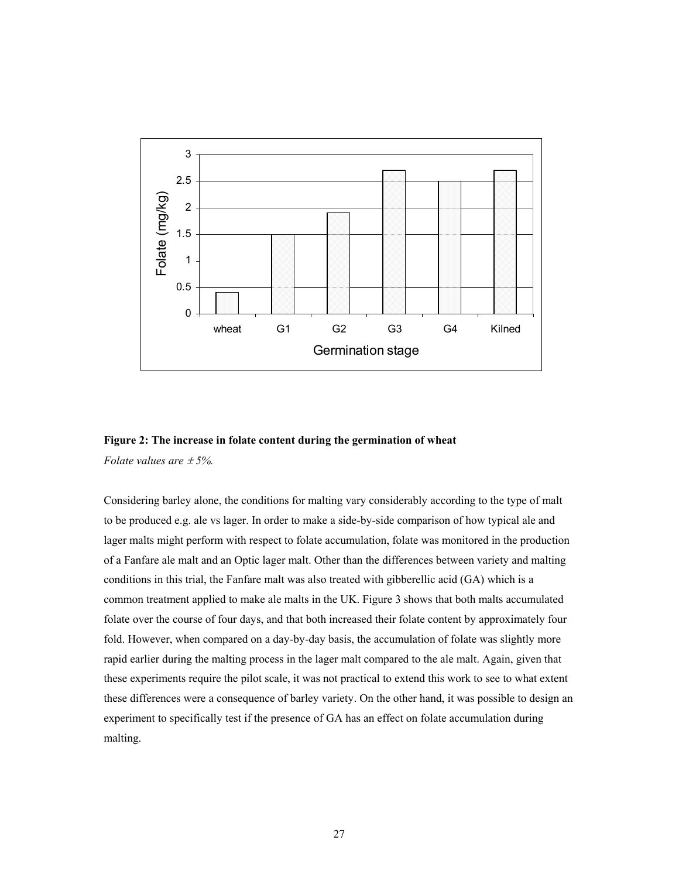



*Folate values are* ± *5%.* 

Considering barley alone, the conditions for malting vary considerably according to the type of malt to be produced e.g. ale vs lager. In order to make a side-by-side comparison of how typical ale and lager malts might perform with respect to folate accumulation, folate was monitored in the production of a Fanfare ale malt and an Optic lager malt. Other than the differences between variety and malting conditions in this trial, the Fanfare malt was also treated with gibberellic acid (GA) which is a common treatment applied to make ale malts in the UK. Figure 3 shows that both malts accumulated folate over the course of four days, and that both increased their folate content by approximately four fold. However, when compared on a day-by-day basis, the accumulation of folate was slightly more rapid earlier during the malting process in the lager malt compared to the ale malt. Again, given that these experiments require the pilot scale, it was not practical to extend this work to see to what extent these differences were a consequence of barley variety. On the other hand, it was possible to design an experiment to specifically test if the presence of GA has an effect on folate accumulation during malting.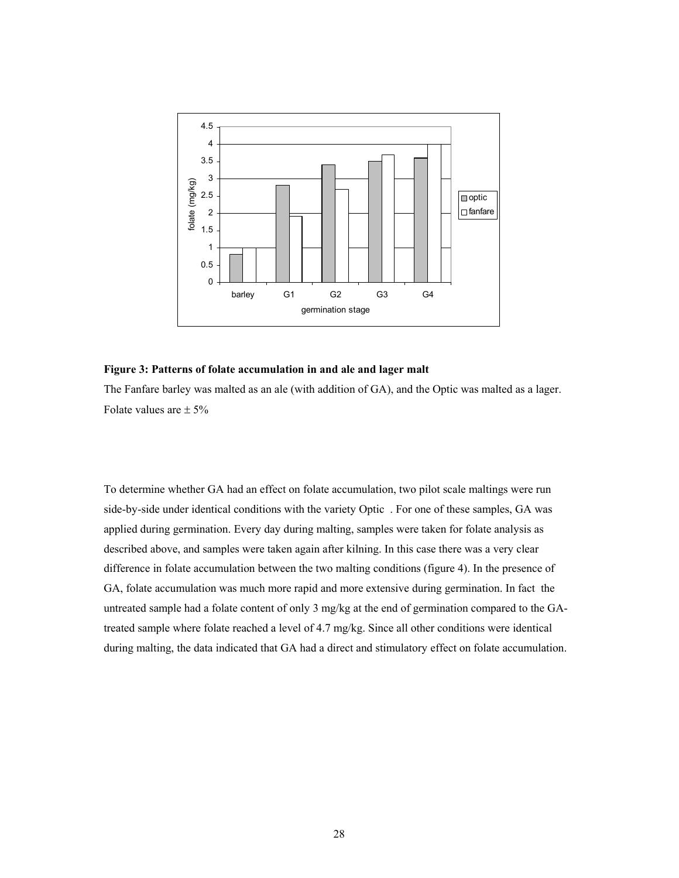

#### **Figure 3: Patterns of folate accumulation in and ale and lager malt**

The Fanfare barley was malted as an ale (with addition of GA), and the Optic was malted as a lager. Folate values are  $\pm$  5%

To determine whether GA had an effect on folate accumulation, two pilot scale maltings were run side-by-side under identical conditions with the variety Optic . For one of these samples, GA was applied during germination. Every day during malting, samples were taken for folate analysis as described above, and samples were taken again after kilning. In this case there was a very clear difference in folate accumulation between the two malting conditions (figure 4). In the presence of GA, folate accumulation was much more rapid and more extensive during germination. In fact the untreated sample had a folate content of only 3 mg/kg at the end of germination compared to the GAtreated sample where folate reached a level of 4.7 mg/kg. Since all other conditions were identical during malting, the data indicated that GA had a direct and stimulatory effect on folate accumulation.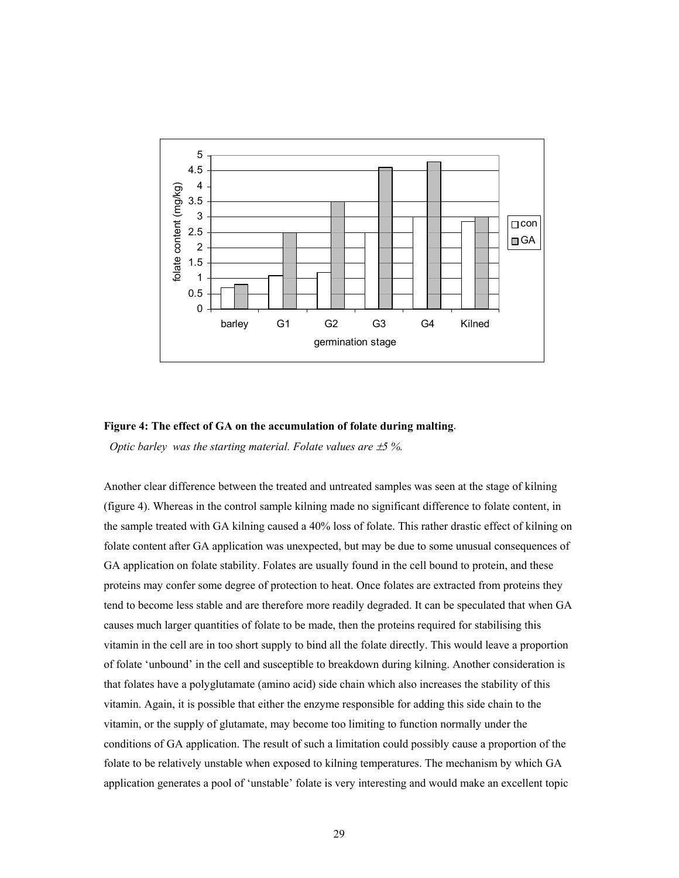

#### **Figure 4: The effect of GA on the accumulation of folate during malting**.

*Optic barley was the starting material. Folate values are*  $\pm$ *5 %.* 

Another clear difference between the treated and untreated samples was seen at the stage of kilning (figure 4). Whereas in the control sample kilning made no significant difference to folate content, in the sample treated with GA kilning caused a 40% loss of folate. This rather drastic effect of kilning on folate content after GA application was unexpected, but may be due to some unusual consequences of GA application on folate stability. Folates are usually found in the cell bound to protein, and these proteins may confer some degree of protection to heat. Once folates are extracted from proteins they tend to become less stable and are therefore more readily degraded. It can be speculated that when GA causes much larger quantities of folate to be made, then the proteins required for stabilising this vitamin in the cell are in too short supply to bind all the folate directly. This would leave a proportion of folate 'unbound' in the cell and susceptible to breakdown during kilning. Another consideration is that folates have a polyglutamate (amino acid) side chain which also increases the stability of this vitamin. Again, it is possible that either the enzyme responsible for adding this side chain to the vitamin, or the supply of glutamate, may become too limiting to function normally under the conditions of GA application. The result of such a limitation could possibly cause a proportion of the folate to be relatively unstable when exposed to kilning temperatures. The mechanism by which GA application generates a pool of 'unstable' folate is very interesting and would make an excellent topic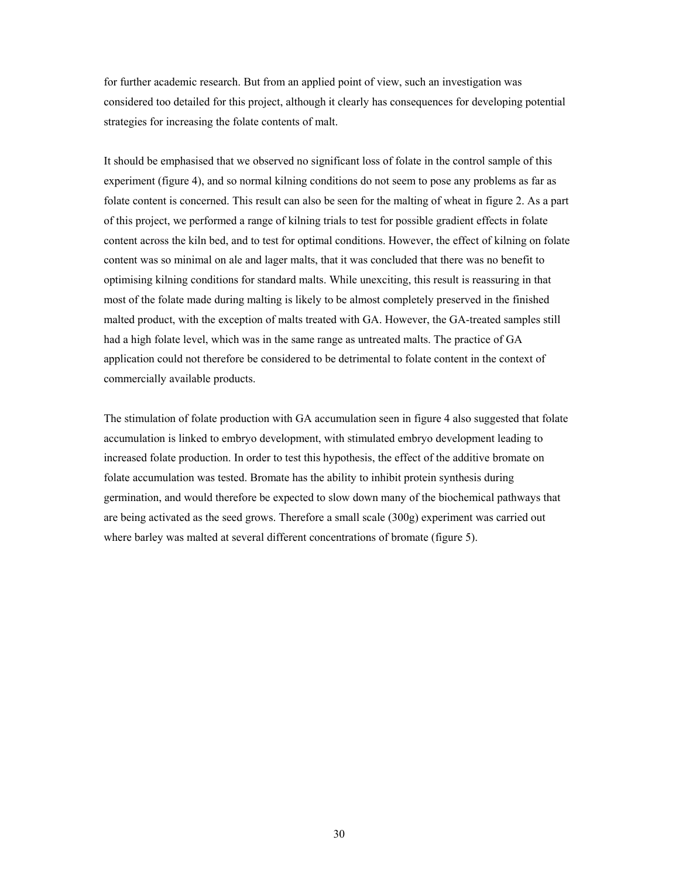for further academic research. But from an applied point of view, such an investigation was considered too detailed for this project, although it clearly has consequences for developing potential strategies for increasing the folate contents of malt.

It should be emphasised that we observed no significant loss of folate in the control sample of this experiment (figure 4), and so normal kilning conditions do not seem to pose any problems as far as folate content is concerned. This result can also be seen for the malting of wheat in figure 2. As a part of this project, we performed a range of kilning trials to test for possible gradient effects in folate content across the kiln bed, and to test for optimal conditions. However, the effect of kilning on folate content was so minimal on ale and lager malts, that it was concluded that there was no benefit to optimising kilning conditions for standard malts. While unexciting, this result is reassuring in that most of the folate made during malting is likely to be almost completely preserved in the finished malted product, with the exception of malts treated with GA. However, the GA-treated samples still had a high folate level, which was in the same range as untreated malts. The practice of GA application could not therefore be considered to be detrimental to folate content in the context of commercially available products.

The stimulation of folate production with GA accumulation seen in figure 4 also suggested that folate accumulation is linked to embryo development, with stimulated embryo development leading to increased folate production. In order to test this hypothesis, the effect of the additive bromate on folate accumulation was tested. Bromate has the ability to inhibit protein synthesis during germination, and would therefore be expected to slow down many of the biochemical pathways that are being activated as the seed grows. Therefore a small scale (300g) experiment was carried out where barley was malted at several different concentrations of bromate (figure 5).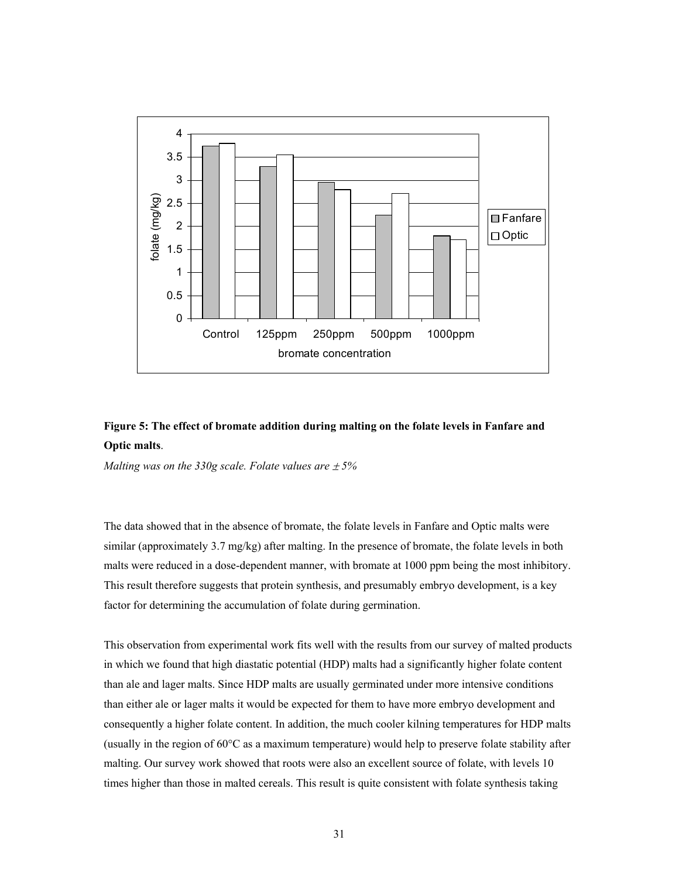

## **Figure 5: The effect of bromate addition during malting on the folate levels in Fanfare and Optic malts**.

*Malting was on the 330g scale. Folate values are*  $\pm$  *5%* 

The data showed that in the absence of bromate, the folate levels in Fanfare and Optic malts were similar (approximately 3.7 mg/kg) after malting. In the presence of bromate, the folate levels in both malts were reduced in a dose-dependent manner, with bromate at 1000 ppm being the most inhibitory. This result therefore suggests that protein synthesis, and presumably embryo development, is a key factor for determining the accumulation of folate during germination.

This observation from experimental work fits well with the results from our survey of malted products in which we found that high diastatic potential (HDP) malts had a significantly higher folate content than ale and lager malts. Since HDP malts are usually germinated under more intensive conditions than either ale or lager malts it would be expected for them to have more embryo development and consequently a higher folate content. In addition, the much cooler kilning temperatures for HDP malts (usually in the region of 60°C as a maximum temperature) would help to preserve folate stability after malting. Our survey work showed that roots were also an excellent source of folate, with levels 10 times higher than those in malted cereals. This result is quite consistent with folate synthesis taking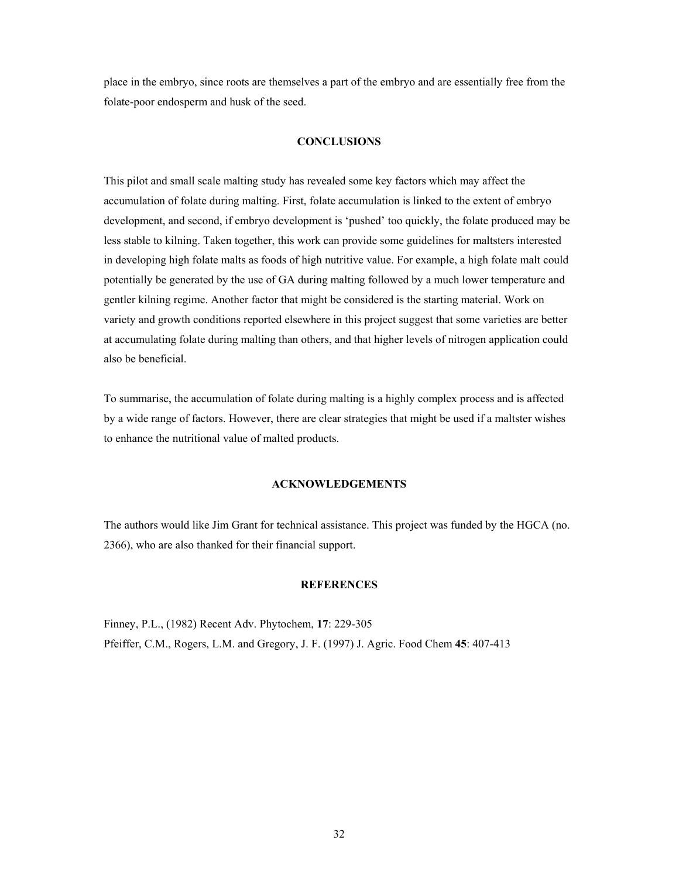place in the embryo, since roots are themselves a part of the embryo and are essentially free from the folate-poor endosperm and husk of the seed.

## **CONCLUSIONS**

This pilot and small scale malting study has revealed some key factors which may affect the accumulation of folate during malting. First, folate accumulation is linked to the extent of embryo development, and second, if embryo development is 'pushed' too quickly, the folate produced may be less stable to kilning. Taken together, this work can provide some guidelines for maltsters interested in developing high folate malts as foods of high nutritive value. For example, a high folate malt could potentially be generated by the use of GA during malting followed by a much lower temperature and gentler kilning regime. Another factor that might be considered is the starting material. Work on variety and growth conditions reported elsewhere in this project suggest that some varieties are better at accumulating folate during malting than others, and that higher levels of nitrogen application could also be beneficial.

To summarise, the accumulation of folate during malting is a highly complex process and is affected by a wide range of factors. However, there are clear strategies that might be used if a maltster wishes to enhance the nutritional value of malted products.

## **ACKNOWLEDGEMENTS**

The authors would like Jim Grant for technical assistance. This project was funded by the HGCA (no. 2366), who are also thanked for their financial support.

## **REFERENCES**

Finney, P.L., (1982) Recent Adv. Phytochem, **17**: 229-305 Pfeiffer, C.M., Rogers, L.M. and Gregory, J. F. (1997) J. Agric. Food Chem **45**: 407-413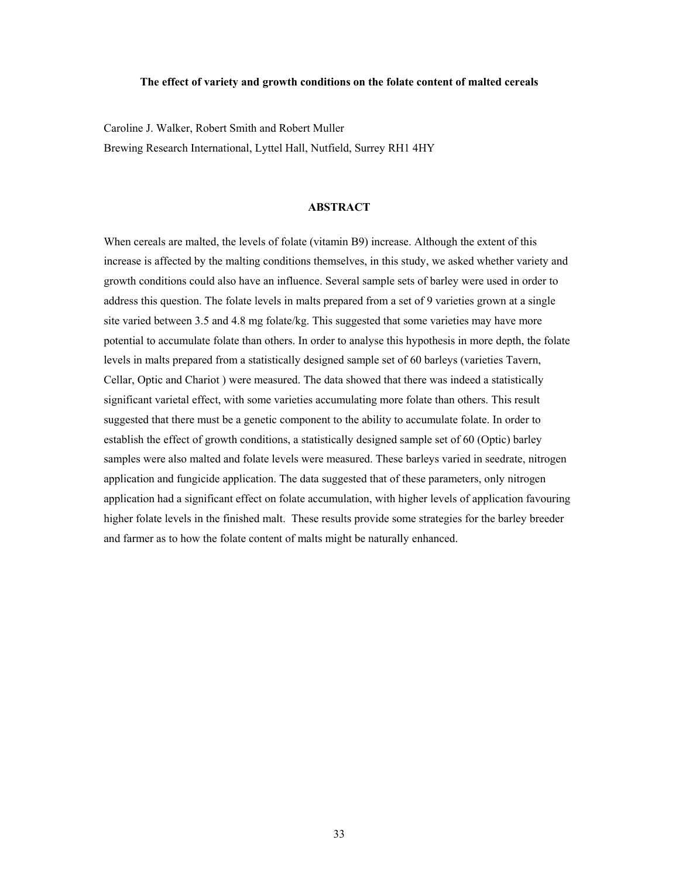#### **The effect of variety and growth conditions on the folate content of malted cereals**

Caroline J. Walker, Robert Smith and Robert Muller Brewing Research International, Lyttel Hall, Nutfield, Surrey RH1 4HY

## **ABSTRACT**

When cereals are malted, the levels of folate (vitamin B9) increase. Although the extent of this increase is affected by the malting conditions themselves, in this study, we asked whether variety and growth conditions could also have an influence. Several sample sets of barley were used in order to address this question. The folate levels in malts prepared from a set of 9 varieties grown at a single site varied between 3.5 and 4.8 mg folate/kg. This suggested that some varieties may have more potential to accumulate folate than others. In order to analyse this hypothesis in more depth, the folate levels in malts prepared from a statistically designed sample set of 60 barleys (varieties Tavern, Cellar, Optic and Chariot ) were measured. The data showed that there was indeed a statistically significant varietal effect, with some varieties accumulating more folate than others. This result suggested that there must be a genetic component to the ability to accumulate folate. In order to establish the effect of growth conditions, a statistically designed sample set of 60 (Optic) barley samples were also malted and folate levels were measured. These barleys varied in seedrate, nitrogen application and fungicide application. The data suggested that of these parameters, only nitrogen application had a significant effect on folate accumulation, with higher levels of application favouring higher folate levels in the finished malt. These results provide some strategies for the barley breeder and farmer as to how the folate content of malts might be naturally enhanced.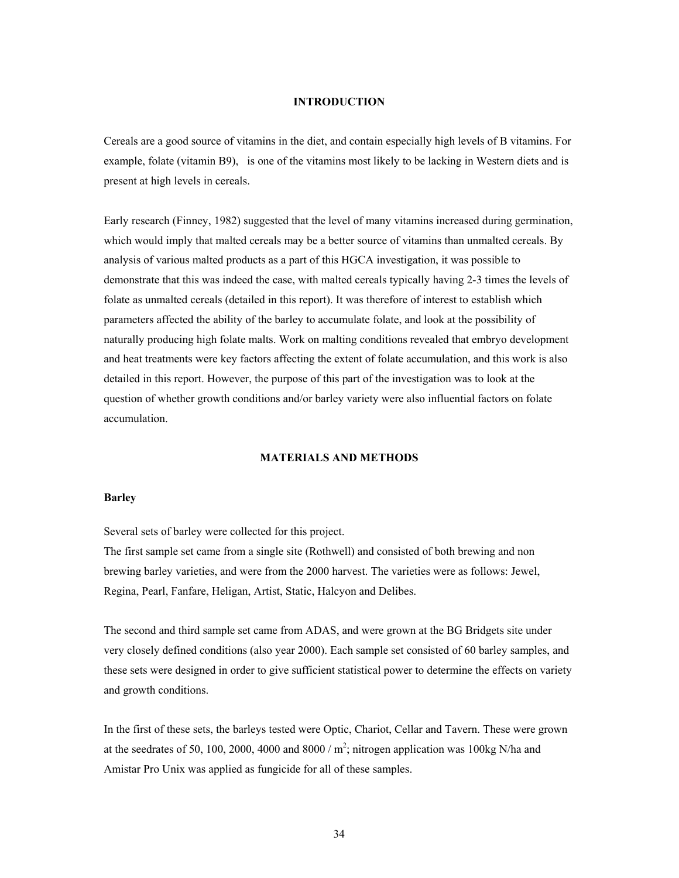## **INTRODUCTION**

Cereals are a good source of vitamins in the diet, and contain especially high levels of B vitamins. For example, folate (vitamin B9), is one of the vitamins most likely to be lacking in Western diets and is present at high levels in cereals.

Early research (Finney, 1982) suggested that the level of many vitamins increased during germination, which would imply that malted cereals may be a better source of vitamins than unmalted cereals. By analysis of various malted products as a part of this HGCA investigation, it was possible to demonstrate that this was indeed the case, with malted cereals typically having 2-3 times the levels of folate as unmalted cereals (detailed in this report). It was therefore of interest to establish which parameters affected the ability of the barley to accumulate folate, and look at the possibility of naturally producing high folate malts. Work on malting conditions revealed that embryo development and heat treatments were key factors affecting the extent of folate accumulation, and this work is also detailed in this report. However, the purpose of this part of the investigation was to look at the question of whether growth conditions and/or barley variety were also influential factors on folate accumulation.

## **MATERIALS AND METHODS**

#### **Barley**

Several sets of barley were collected for this project.

The first sample set came from a single site (Rothwell) and consisted of both brewing and non brewing barley varieties, and were from the 2000 harvest. The varieties were as follows: Jewel, Regina, Pearl, Fanfare, Heligan, Artist, Static, Halcyon and Delibes.

The second and third sample set came from ADAS, and were grown at the BG Bridgets site under very closely defined conditions (also year 2000). Each sample set consisted of 60 barley samples, and these sets were designed in order to give sufficient statistical power to determine the effects on variety and growth conditions.

In the first of these sets, the barleys tested were Optic, Chariot, Cellar and Tavern. These were grown at the seedrates of 50, 100, 2000, 4000 and 8000 /  $m^2$ ; nitrogen application was 100kg N/ha and Amistar Pro Unix was applied as fungicide for all of these samples.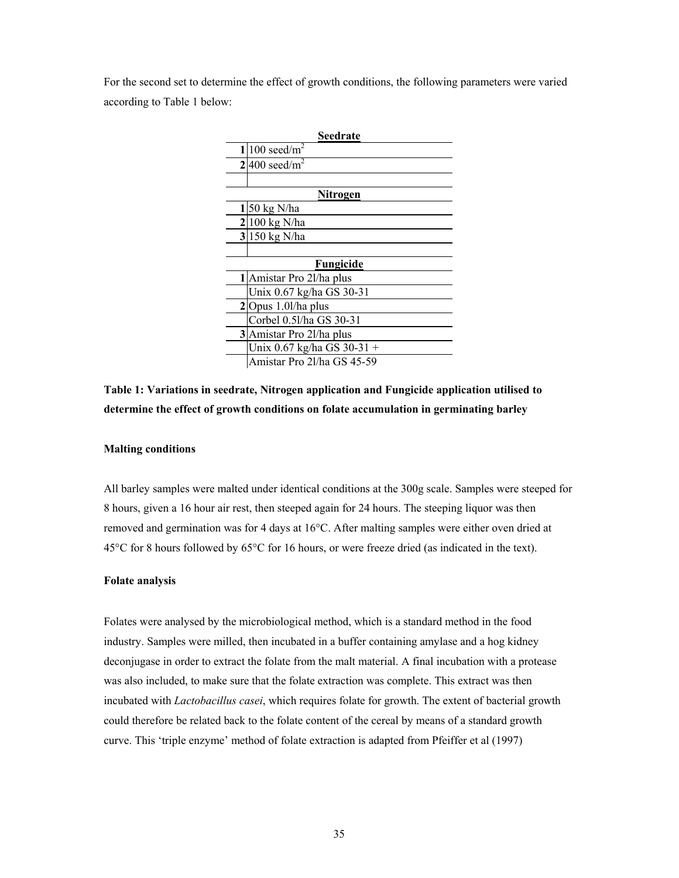For the second set to determine the effect of growth conditions, the following parameters were varied according to Table 1 below:

| Seedrate        |                              |  |
|-----------------|------------------------------|--|
| 11              | 100 seed/ $m^2$              |  |
|                 | $2 400 \text{ seed/m}^2$     |  |
|                 |                              |  |
| <u>Nitrogen</u> |                              |  |
|                 | 50 kg N/ha                   |  |
|                 | $2 100 \text{ kg N/ha}$      |  |
|                 | $3 150$ kg N/ha              |  |
|                 |                              |  |
|                 | Fungicide                    |  |
|                 | 1 Amistar Pro 21/ha plus     |  |
|                 | Unix 0.67 kg/ha GS 30-31     |  |
|                 | $2$ Opus 1.0l/ha plus        |  |
|                 | Corbel 0.51/ha GS 30-31      |  |
|                 | 3 Amistar Pro 21/ha plus     |  |
|                 | Unix $0.67$ kg/ha GS 30-31 + |  |
|                 | Amistar Pro 2l/ha GS 45-59   |  |

## **Table 1: Variations in seedrate, Nitrogen application and Fungicide application utilised to determine the effect of growth conditions on folate accumulation in germinating barley**

## **Malting conditions**

All barley samples were malted under identical conditions at the 300g scale. Samples were steeped for 8 hours, given a 16 hour air rest, then steeped again for 24 hours. The steeping liquor was then removed and germination was for 4 days at 16°C. After malting samples were either oven dried at 45°C for 8 hours followed by 65°C for 16 hours, or were freeze dried (as indicated in the text).

#### **Folate analysis**

Folates were analysed by the microbiological method, which is a standard method in the food industry. Samples were milled, then incubated in a buffer containing amylase and a hog kidney deconjugase in order to extract the folate from the malt material. A final incubation with a protease was also included, to make sure that the folate extraction was complete. This extract was then incubated with *Lactobacillus casei*, which requires folate for growth. The extent of bacterial growth could therefore be related back to the folate content of the cereal by means of a standard growth curve. This 'triple enzyme' method of folate extraction is adapted from Pfeiffer et al (1997)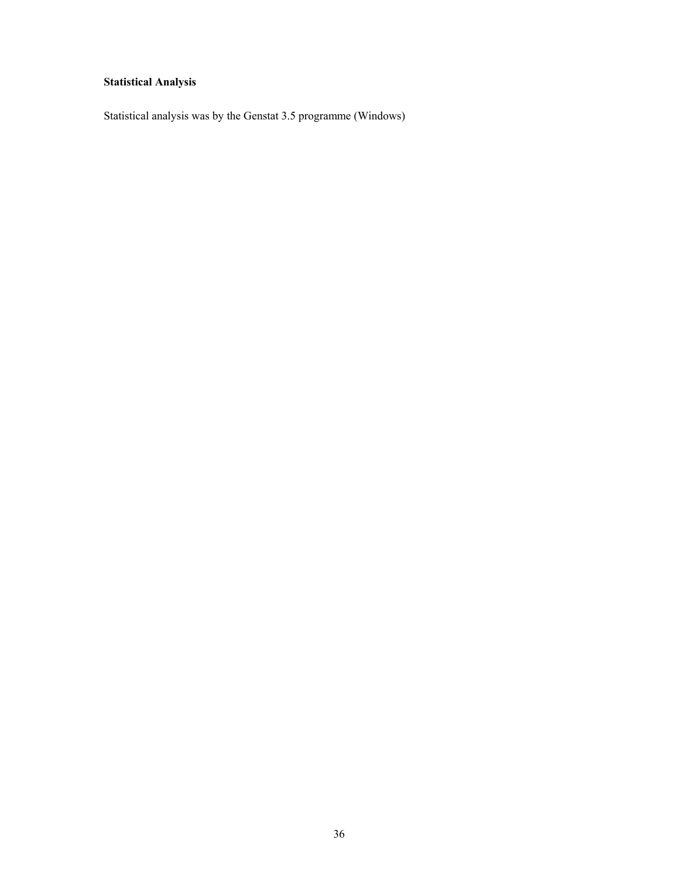# **Statistical Analysis**

Statistical analysis was by the Genstat 3.5 programme (Windows)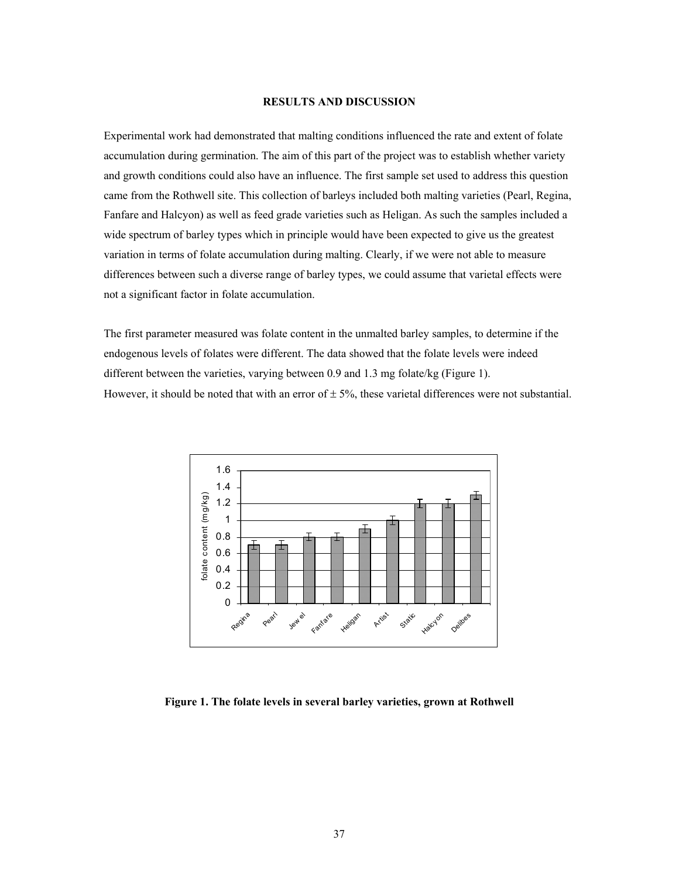#### **RESULTS AND DISCUSSION**

Experimental work had demonstrated that malting conditions influenced the rate and extent of folate accumulation during germination. The aim of this part of the project was to establish whether variety and growth conditions could also have an influence. The first sample set used to address this question came from the Rothwell site. This collection of barleys included both malting varieties (Pearl, Regina, Fanfare and Halcyon) as well as feed grade varieties such as Heligan. As such the samples included a wide spectrum of barley types which in principle would have been expected to give us the greatest variation in terms of folate accumulation during malting. Clearly, if we were not able to measure differences between such a diverse range of barley types, we could assume that varietal effects were not a significant factor in folate accumulation.

The first parameter measured was folate content in the unmalted barley samples, to determine if the endogenous levels of folates were different. The data showed that the folate levels were indeed different between the varieties, varying between 0.9 and 1.3 mg folate/kg (Figure 1). However, it should be noted that with an error of  $\pm$  5%, these varietal differences were not substantial.



**Figure 1. The folate levels in several barley varieties, grown at Rothwell**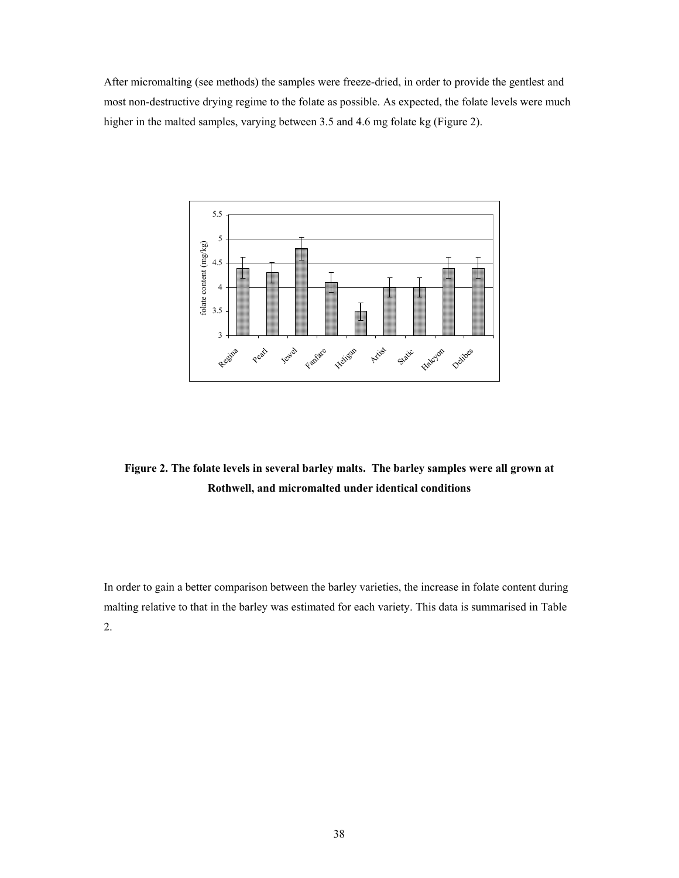After micromalting (see methods) the samples were freeze-dried, in order to provide the gentlest and most non-destructive drying regime to the folate as possible. As expected, the folate levels were much higher in the malted samples, varying between 3.5 and 4.6 mg folate kg (Figure 2).



**Figure 2. The folate levels in several barley malts. The barley samples were all grown at Rothwell, and micromalted under identical conditions** 

In order to gain a better comparison between the barley varieties, the increase in folate content during malting relative to that in the barley was estimated for each variety. This data is summarised in Table 2.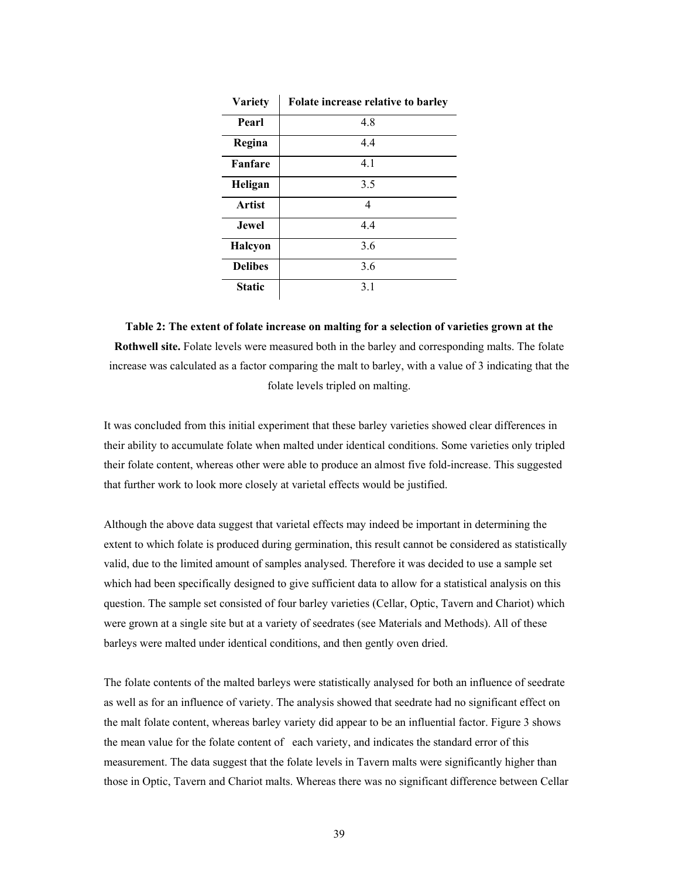| <b>Variety</b> | Folate increase relative to barley |
|----------------|------------------------------------|
| Pearl          | 4.8                                |
| Regina         | 4.4                                |
| <b>Fanfare</b> | 4.1                                |
| Heligan        | 3.5                                |
| Artist         | 4                                  |
| <b>Jewel</b>   | 4.4                                |
| <b>Halcyon</b> | 3.6                                |
| <b>Delibes</b> | 3.6                                |
| <b>Static</b>  | 3.1                                |

**Table 2: The extent of folate increase on malting for a selection of varieties grown at the Rothwell site.** Folate levels were measured both in the barley and corresponding malts. The folate increase was calculated as a factor comparing the malt to barley, with a value of 3 indicating that the folate levels tripled on malting.

It was concluded from this initial experiment that these barley varieties showed clear differences in their ability to accumulate folate when malted under identical conditions. Some varieties only tripled their folate content, whereas other were able to produce an almost five fold-increase. This suggested that further work to look more closely at varietal effects would be justified.

Although the above data suggest that varietal effects may indeed be important in determining the extent to which folate is produced during germination, this result cannot be considered as statistically valid, due to the limited amount of samples analysed. Therefore it was decided to use a sample set which had been specifically designed to give sufficient data to allow for a statistical analysis on this question. The sample set consisted of four barley varieties (Cellar, Optic, Tavern and Chariot) which were grown at a single site but at a variety of seedrates (see Materials and Methods). All of these barleys were malted under identical conditions, and then gently oven dried.

The folate contents of the malted barleys were statistically analysed for both an influence of seedrate as well as for an influence of variety. The analysis showed that seedrate had no significant effect on the malt folate content, whereas barley variety did appear to be an influential factor. Figure 3 shows the mean value for the folate content of each variety, and indicates the standard error of this measurement. The data suggest that the folate levels in Tavern malts were significantly higher than those in Optic, Tavern and Chariot malts. Whereas there was no significant difference between Cellar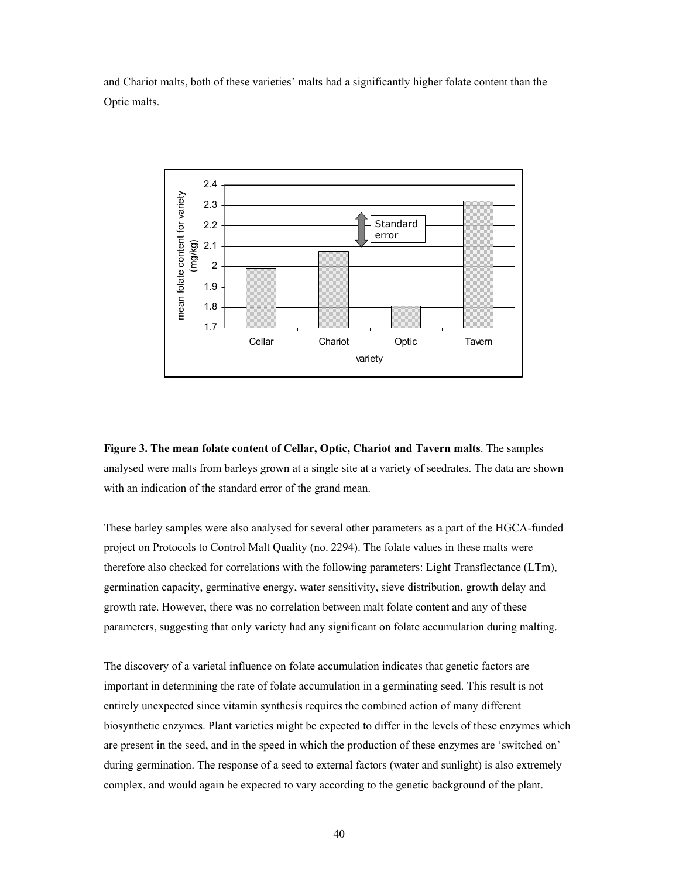and Chariot malts, both of these varieties' malts had a significantly higher folate content than the Optic malts.



**Figure 3. The mean folate content of Cellar, Optic, Chariot and Tavern malts**. The samples analysed were malts from barleys grown at a single site at a variety of seedrates. The data are shown with an indication of the standard error of the grand mean.

These barley samples were also analysed for several other parameters as a part of the HGCA-funded project on Protocols to Control Malt Quality (no. 2294). The folate values in these malts were therefore also checked for correlations with the following parameters: Light Transflectance (LTm), germination capacity, germinative energy, water sensitivity, sieve distribution, growth delay and growth rate. However, there was no correlation between malt folate content and any of these parameters, suggesting that only variety had any significant on folate accumulation during malting.

The discovery of a varietal influence on folate accumulation indicates that genetic factors are important in determining the rate of folate accumulation in a germinating seed. This result is not entirely unexpected since vitamin synthesis requires the combined action of many different biosynthetic enzymes. Plant varieties might be expected to differ in the levels of these enzymes which are present in the seed, and in the speed in which the production of these enzymes are 'switched on' during germination. The response of a seed to external factors (water and sunlight) is also extremely complex, and would again be expected to vary according to the genetic background of the plant.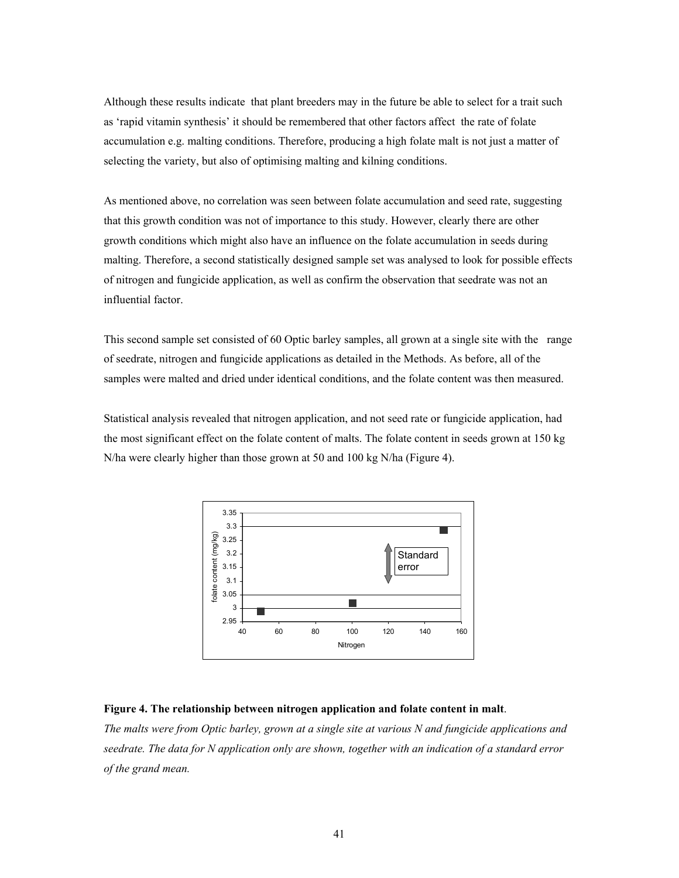Although these results indicate that plant breeders may in the future be able to select for a trait such as 'rapid vitamin synthesis' it should be remembered that other factors affect the rate of folate accumulation e.g. malting conditions. Therefore, producing a high folate malt is not just a matter of selecting the variety, but also of optimising malting and kilning conditions.

As mentioned above, no correlation was seen between folate accumulation and seed rate, suggesting that this growth condition was not of importance to this study. However, clearly there are other growth conditions which might also have an influence on the folate accumulation in seeds during malting. Therefore, a second statistically designed sample set was analysed to look for possible effects of nitrogen and fungicide application, as well as confirm the observation that seedrate was not an influential factor.

This second sample set consisted of 60 Optic barley samples, all grown at a single site with the range of seedrate, nitrogen and fungicide applications as detailed in the Methods. As before, all of the samples were malted and dried under identical conditions, and the folate content was then measured.

Statistical analysis revealed that nitrogen application, and not seed rate or fungicide application, had the most significant effect on the folate content of malts. The folate content in seeds grown at 150 kg N/ha were clearly higher than those grown at 50 and 100 kg N/ha (Figure 4).



#### **Figure 4. The relationship between nitrogen application and folate content in malt**.

*The malts were from Optic barley, grown at a single site at various N and fungicide applications and seedrate. The data for N application only are shown, together with an indication of a standard error of the grand mean.*